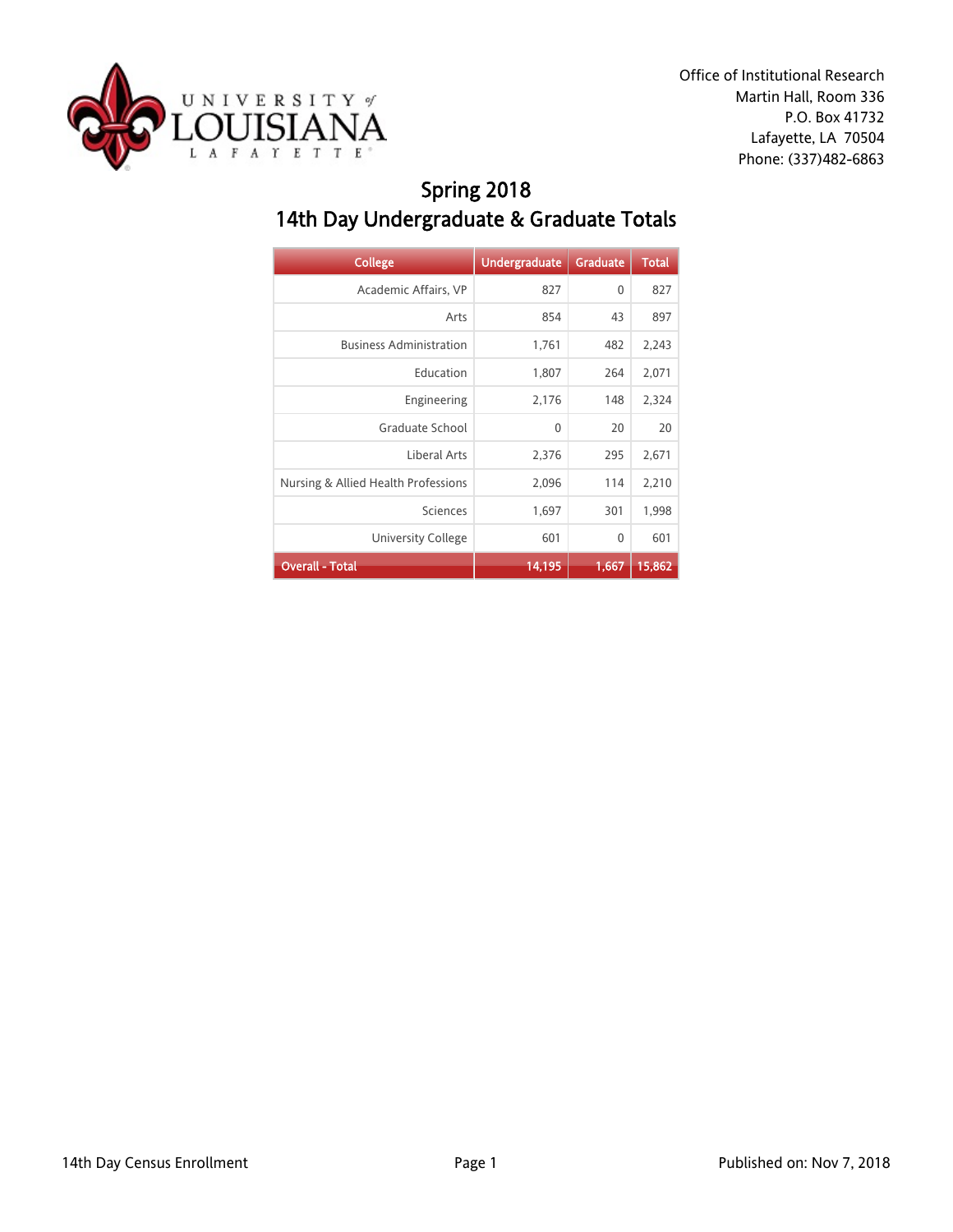

# Spring 2018 14th Day Undergraduate & Graduate Totals

| <b>College</b>                      | <b>Undergraduate</b> | <b>Graduate</b> | <b>Total</b> |
|-------------------------------------|----------------------|-----------------|--------------|
| Academic Affairs, VP                | 827                  | 0               | 827          |
| Arts                                | 854                  | 43              | 897          |
| <b>Business Administration</b>      | 1,761                | 482             | 2,243        |
| Education                           | 1,807                | 264             | 2,071        |
| Engineering                         | 2,176                | 148             | 2,324        |
| Graduate School                     | $\mathbf{0}$         | 20              | 20           |
| Liberal Arts                        | 2,376                | 295             | 2,671        |
| Nursing & Allied Health Professions | 2,096                | 114             | 2,210        |
| Sciences                            | 1,697                | 301             | 1,998        |
| University College                  | 601                  | 0               | 601          |
| <b>Overall - Total</b>              | 14,195               | 1,667           | 15,862       |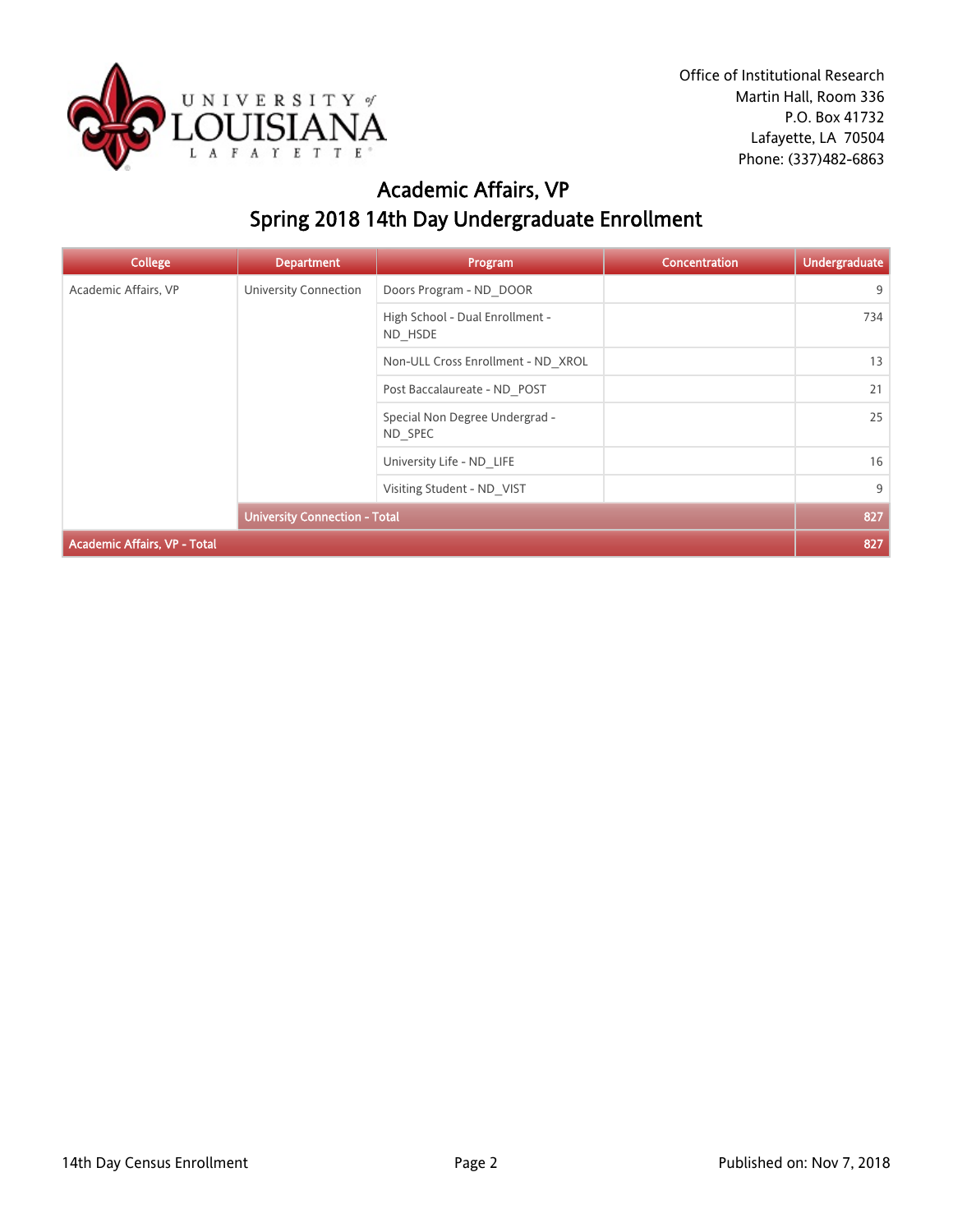

## Academic Affairs, VP Spring 2018 14th Day Undergraduate Enrollment

| <b>College</b>                      | <b>Department</b>                    | Program                                    | <b>Concentration</b> | <b>Undergraduate</b> |
|-------------------------------------|--------------------------------------|--------------------------------------------|----------------------|----------------------|
| Academic Affairs, VP                | University Connection                | Doors Program - ND DOOR                    |                      | 9                    |
|                                     |                                      | High School - Dual Enrollment -<br>ND HSDE |                      | 734                  |
|                                     |                                      | Non-ULL Cross Enrollment - ND XROL         |                      | 13                   |
|                                     |                                      | Post Baccalaureate - ND POST               |                      | 21                   |
|                                     |                                      | Special Non Degree Undergrad -<br>ND SPEC  |                      | 25                   |
|                                     |                                      | University Life - ND LIFE                  |                      | 16                   |
|                                     |                                      | Visiting Student - ND VIST                 |                      | 9                    |
|                                     | <b>University Connection - Total</b> |                                            |                      | 827                  |
| <b>Academic Affairs, VP - Total</b> |                                      |                                            |                      | 827                  |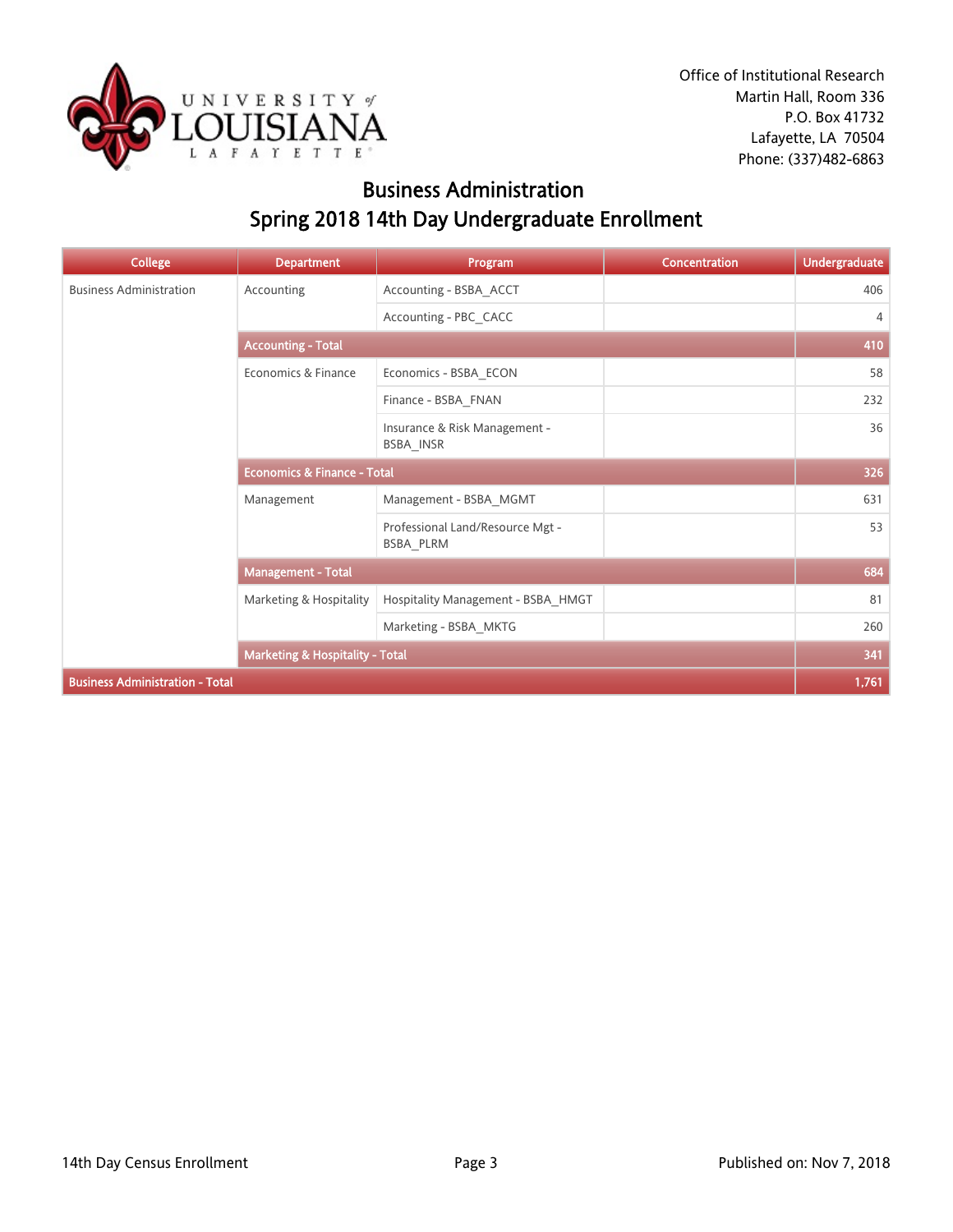

## Business Administration Spring 2018 14th Day Undergraduate Enrollment

| <b>College</b>                         | <b>Department</b>                          | Program                                       | Concentration | <b>Undergraduate</b> |  |
|----------------------------------------|--------------------------------------------|-----------------------------------------------|---------------|----------------------|--|
| <b>Business Administration</b>         | Accounting                                 | Accounting - BSBA_ACCT                        |               | 406                  |  |
|                                        |                                            | Accounting - PBC_CACC                         |               | 4                    |  |
|                                        | <b>Accounting - Total</b>                  |                                               |               |                      |  |
|                                        | Economics & Finance                        | Economics - BSBA_ECON                         |               | 58                   |  |
|                                        |                                            | Finance - BSBA FNAN                           |               | 232                  |  |
|                                        |                                            | Insurance & Risk Management -<br>BSBA_INSR    |               | 36                   |  |
|                                        | <b>Economics &amp; Finance - Total</b>     |                                               |               | 326                  |  |
|                                        | Management                                 | Management - BSBA MGMT                        |               | 631                  |  |
|                                        |                                            | Professional Land/Resource Mgt -<br>BSBA PLRM |               | 53                   |  |
|                                        | <b>Management - Total</b>                  |                                               |               | 684                  |  |
|                                        | Marketing & Hospitality                    | Hospitality Management - BSBA_HMGT            |               | 81                   |  |
|                                        |                                            | Marketing - BSBA_MKTG                         |               | 260                  |  |
|                                        | <b>Marketing &amp; Hospitality - Total</b> |                                               |               | 341                  |  |
| <b>Business Administration - Total</b> |                                            |                                               |               | 1,761                |  |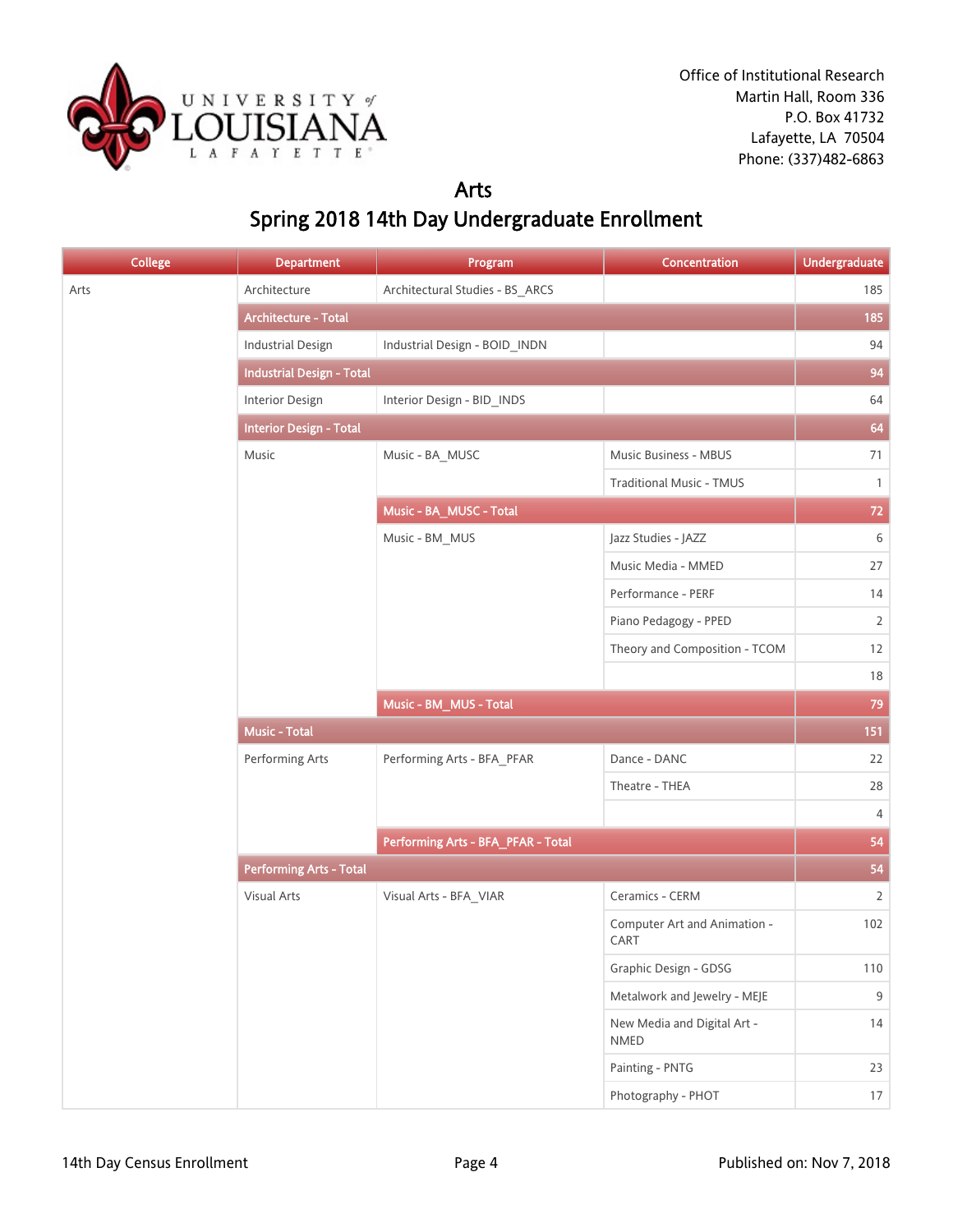

#### Arts Spring 2018 14th Day Undergraduate Enrollment

| <b>College</b> | <b>Department</b>                | Program                            | Concentration                        | Undergraduate  |
|----------------|----------------------------------|------------------------------------|--------------------------------------|----------------|
| Arts           | Architecture                     | Architectural Studies - BS_ARCS    |                                      | 185            |
|                | Architecture - Total             |                                    |                                      | 185            |
|                | <b>Industrial Design</b>         | Industrial Design - BOID_INDN      |                                      | 94             |
|                | <b>Industrial Design - Total</b> |                                    |                                      | 94             |
|                | Interior Design                  | Interior Design - BID_INDS         |                                      | 64             |
|                | <b>Interior Design - Total</b>   |                                    |                                      | 64             |
|                | Music                            | Music - BA_MUSC                    | Music Business - MBUS                | 71             |
|                |                                  |                                    | Traditional Music - TMUS             | $\mathbf{1}$   |
|                |                                  | Music - BA_MUSC - Total            |                                      | 72             |
|                |                                  | Music - BM_MUS                     | Jazz Studies - JAZZ                  | 6              |
|                |                                  |                                    | Music Media - MMED                   | 27             |
|                |                                  |                                    | Performance - PERF                   | 14             |
|                |                                  |                                    | Piano Pedagogy - PPED                | $\overline{2}$ |
|                |                                  |                                    | Theory and Composition - TCOM        | 12             |
|                |                                  |                                    |                                      | 18             |
|                |                                  | Music - BM_MUS - Total             |                                      | 79             |
|                | <b>Music - Total</b>             |                                    |                                      | 151            |
|                | Performing Arts                  | Performing Arts - BFA_PFAR         | Dance - DANC                         | 22             |
|                |                                  |                                    | Theatre - THEA                       | 28             |
|                |                                  |                                    |                                      | 4              |
|                |                                  | Performing Arts - BFA_PFAR - Total |                                      | 54             |
|                | <b>Performing Arts - Total</b>   |                                    |                                      | 54             |
|                | Visual Arts                      | Visual Arts - BFA_VIAR             | Ceramics - CERM                      | $\overline{2}$ |
|                |                                  |                                    | Computer Art and Animation -<br>CART | 102            |
|                |                                  |                                    | Graphic Design - GDSG                | 110            |
|                |                                  |                                    | Metalwork and Jewelry - MEJE         | $9\,$          |
|                |                                  |                                    | New Media and Digital Art -<br>NMED  | 14             |
|                |                                  |                                    | Painting - PNTG                      | 23             |
|                |                                  |                                    | Photography - PHOT                   | 17             |
|                |                                  |                                    |                                      |                |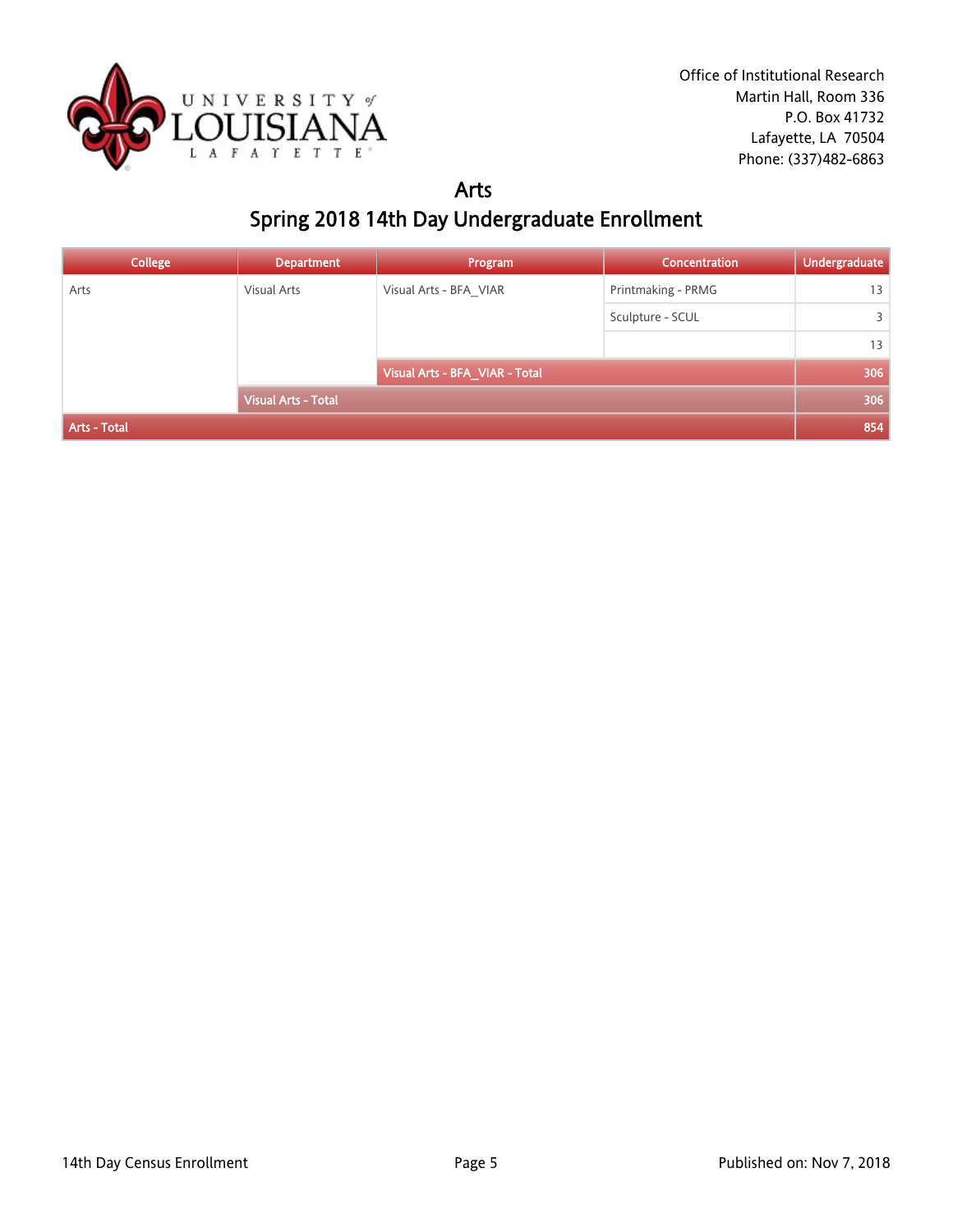

#### Arts Spring 2018 14th Day Undergraduate Enrollment

| <b>College</b>      | <b>Department</b>          | Program                        | Concentration      | <b>Undergraduate</b> |
|---------------------|----------------------------|--------------------------------|--------------------|----------------------|
| Arts                | Visual Arts                | Visual Arts - BFA_VIAR         | Printmaking - PRMG | 13                   |
|                     |                            |                                | Sculpture - SCUL   | 3                    |
|                     |                            |                                |                    | 13                   |
|                     |                            | Visual Arts - BFA_VIAR - Total |                    | 306                  |
|                     | <b>Visual Arts - Total</b> |                                |                    | 306                  |
| <b>Arts - Total</b> |                            |                                |                    | 854                  |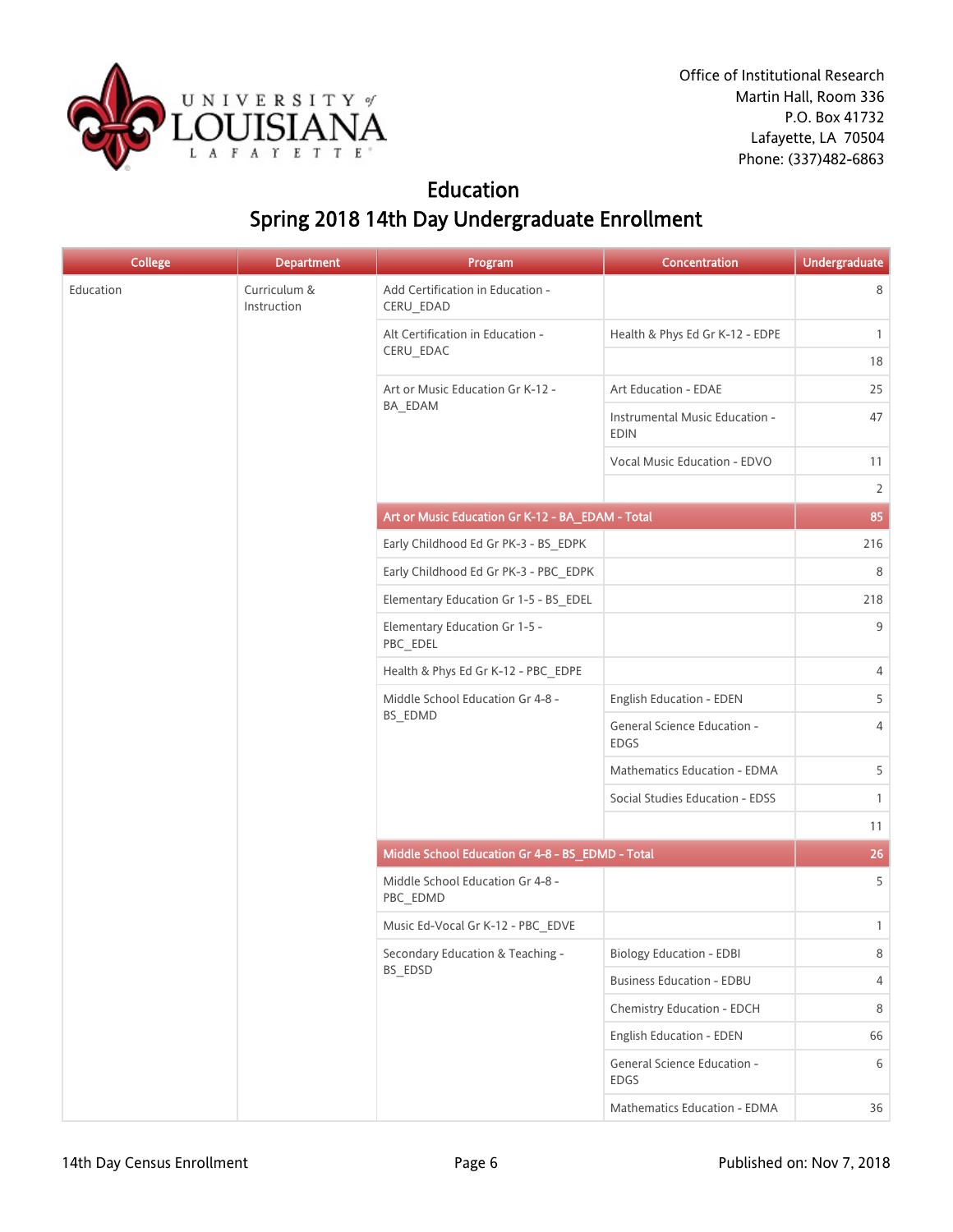

## Education Spring 2018 14th Day Undergraduate Enrollment

| <b>College</b> | <b>Department</b>           | Program                                          | Concentration                                 | <b>Undergraduate</b> |
|----------------|-----------------------------|--------------------------------------------------|-----------------------------------------------|----------------------|
| Education      | Curriculum &<br>Instruction | Add Certification in Education -<br>CERU_EDAD    |                                               | 8                    |
|                |                             | Alt Certification in Education -                 | Health & Phys Ed Gr K-12 - EDPE               | $\mathbf{1}$         |
|                |                             | CERU_EDAC                                        |                                               | 18                   |
|                |                             | Art or Music Education Gr K-12 -                 | Art Education - EDAE                          | 25                   |
|                |                             | BA_EDAM                                          | Instrumental Music Education -<br><b>EDIN</b> | 47                   |
|                |                             |                                                  | Vocal Music Education - EDVO                  | 11                   |
|                |                             |                                                  |                                               | $\overline{2}$       |
|                |                             | Art or Music Education Gr K-12 - BA_EDAM - Total |                                               | 85                   |
|                |                             | Early Childhood Ed Gr PK-3 - BS_EDPK             |                                               | 216                  |
|                |                             | Early Childhood Ed Gr PK-3 - PBC EDPK            |                                               | 8                    |
|                |                             | Elementary Education Gr 1-5 - BS_EDEL            |                                               | 218                  |
|                |                             | Elementary Education Gr 1-5 -<br>PBC_EDEL        |                                               | 9                    |
|                |                             | Health & Phys Ed Gr K-12 - PBC EDPE              |                                               | 4                    |
|                |                             | Middle School Education Gr 4-8 -<br>BS_EDMD      | English Education - EDEN                      | 5                    |
|                |                             |                                                  | General Science Education -<br><b>EDGS</b>    | 4                    |
|                |                             |                                                  | Mathematics Education - EDMA                  | 5                    |
|                |                             |                                                  | Social Studies Education - EDSS               | $\mathbf{1}$         |
|                |                             |                                                  |                                               | 11                   |
|                |                             | Middle School Education Gr 4-8 - BS_EDMD - Total |                                               | 26                   |
|                |                             | Middle School Education Gr 4-8 -<br>PBC_EDMD     |                                               | 5                    |
|                |                             | Music Ed-Vocal Gr K-12 - PBC_EDVE                |                                               | $\mathbf{1}$         |
|                |                             | Secondary Education & Teaching -                 | <b>Biology Education - EDBI</b>               | 8                    |
|                |                             | BS_EDSD                                          | <b>Business Education - EDBU</b>              | 4                    |
|                |                             |                                                  | Chemistry Education - EDCH                    | $\,8\,$              |
|                |                             |                                                  | English Education - EDEN                      | 66                   |
|                |                             |                                                  | General Science Education -<br>EDGS           | 6                    |
|                |                             |                                                  | Mathematics Education - EDMA                  | 36                   |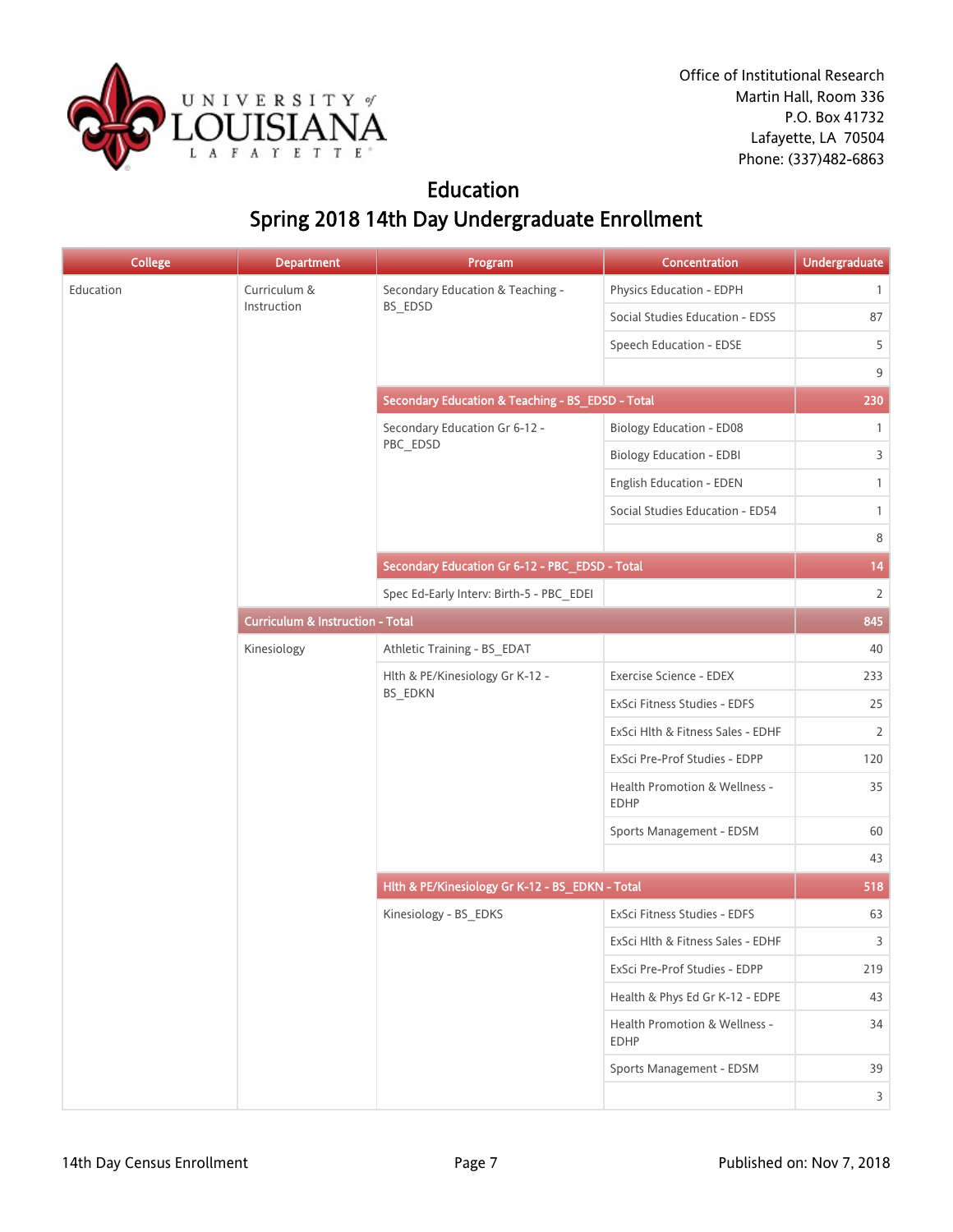

## Education Spring 2018 14th Day Undergraduate Enrollment

| <b>College</b> | <b>Department</b> | Program                                          | Concentration                                | Undergraduate  |
|----------------|-------------------|--------------------------------------------------|----------------------------------------------|----------------|
| Education      | Curriculum &      | Secondary Education & Teaching -                 | Physics Education - EDPH                     | $\mathbf{1}$   |
|                | Instruction       | BS_EDSD                                          | Social Studies Education - EDSS              | 87             |
|                |                   |                                                  | Speech Education - EDSE                      | 5              |
|                |                   |                                                  |                                              | 9              |
|                |                   | Secondary Education & Teaching - BS_EDSD - Total |                                              | 230            |
|                |                   | Secondary Education Gr 6-12 -                    | <b>Biology Education - ED08</b>              | $\mathbf{1}$   |
|                |                   | PBC_EDSD                                         | <b>Biology Education - EDBI</b>              | $\overline{3}$ |
|                |                   |                                                  | English Education - EDEN                     | $\mathbf{1}$   |
|                |                   |                                                  | Social Studies Education - ED54              | $\mathbf{1}$   |
|                |                   |                                                  |                                              | 8              |
|                |                   | Secondary Education Gr 6-12 - PBC_EDSD - Total   |                                              | 14             |
|                |                   | Spec Ed-Early Interv: Birth-5 - PBC_EDEI         |                                              | $\overline{2}$ |
|                |                   | <b>Curriculum &amp; Instruction - Total</b>      |                                              | 845            |
| Kinesiology    |                   | Athletic Training - BS_EDAT                      |                                              | 40             |
|                |                   | Hlth & PE/Kinesiology Gr K-12 -                  | Exercise Science - EDEX                      | 233            |
|                | BS_EDKN           | ExSci Fitness Studies - EDFS                     | 25                                           |                |
|                |                   |                                                  | ExSci Hlth & Fitness Sales - EDHF            | $\overline{2}$ |
|                |                   |                                                  | ExSci Pre-Prof Studies - EDPP                | 120            |
|                |                   |                                                  | Health Promotion & Wellness -<br><b>EDHP</b> | 35             |
|                |                   |                                                  | Sports Management - EDSM                     | 60             |
|                |                   |                                                  |                                              | 43             |
|                |                   | Hlth & PE/Kinesiology Gr K-12 - BS_EDKN - Total  |                                              | 518            |
|                |                   | Kinesiology - BS_EDKS                            | ExSci Fitness Studies - EDFS                 | 63             |
|                |                   |                                                  | ExSci Hlth & Fitness Sales - EDHF            | 3              |
|                |                   |                                                  | ExSci Pre-Prof Studies - EDPP                | 219            |
|                |                   |                                                  | Health & Phys Ed Gr K-12 - EDPE              | 43             |
|                |                   |                                                  | Health Promotion & Wellness -<br><b>EDHP</b> | 34             |
|                |                   |                                                  | Sports Management - EDSM                     | 39             |
|                |                   |                                                  |                                              | $\overline{3}$ |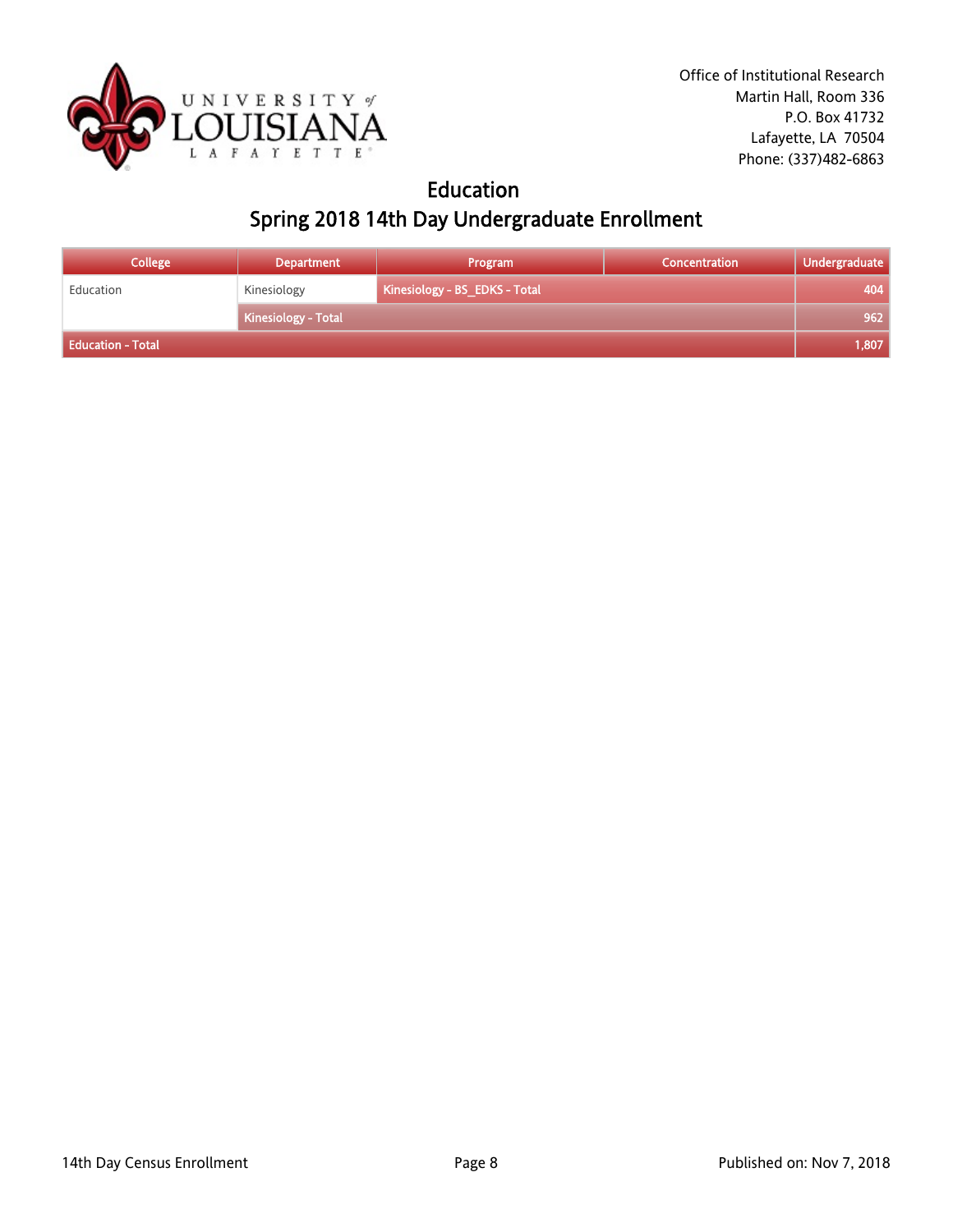

## Education Spring 2018 14th Day Undergraduate Enrollment

| <b>College</b>    | <b>Department</b>   | Program                       | Concentration | Undergraduate |
|-------------------|---------------------|-------------------------------|---------------|---------------|
| Education         | Kinesiology         | Kinesiology - BS_EDKS - Total |               | 404           |
|                   | Kinesiology - Total |                               |               | 962           |
| Education - Total |                     |                               |               | 1,807         |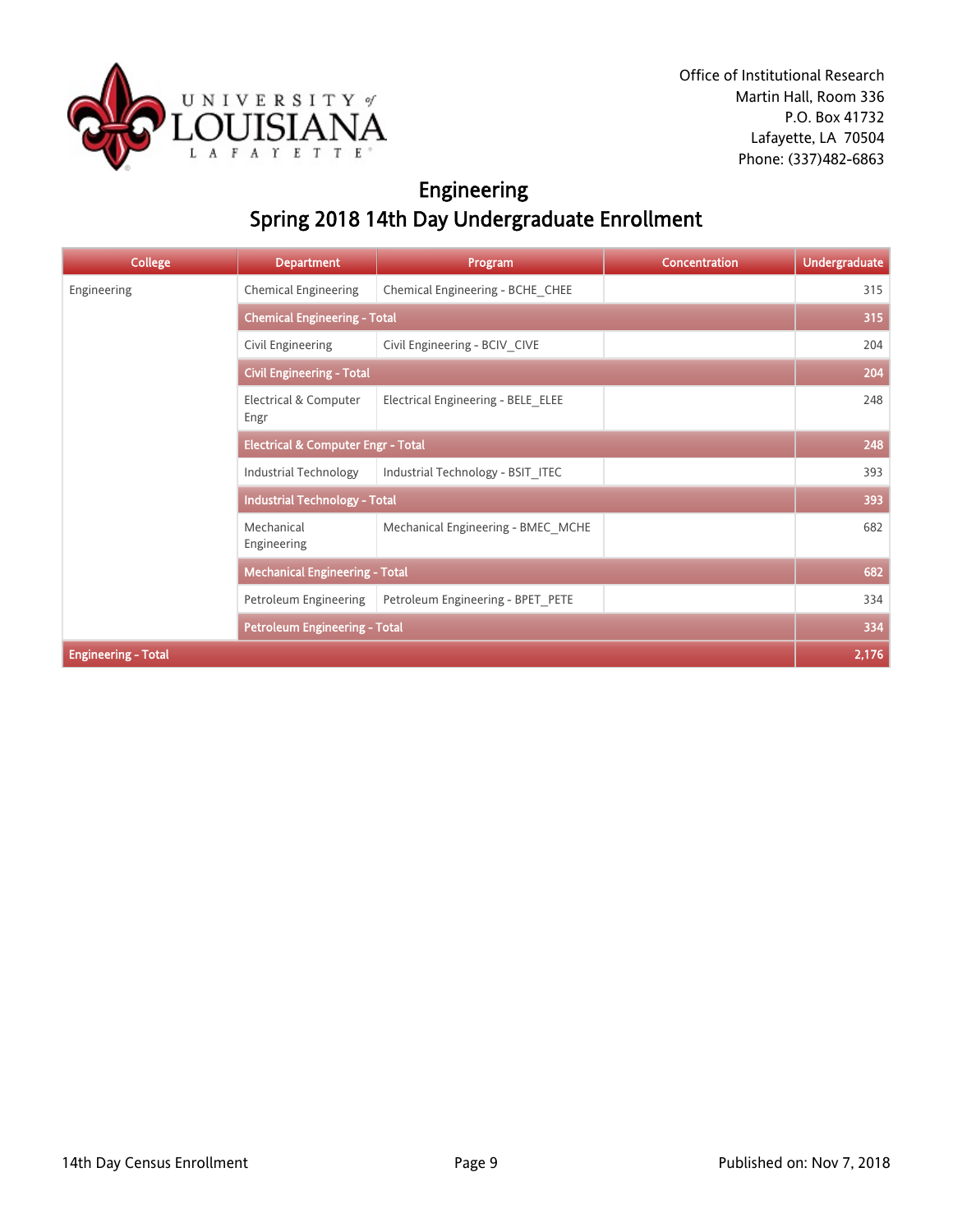

# Engineering Spring 2018 14th Day Undergraduate Enrollment

| <b>College</b>             | <b>Department</b>                             | Program                            | <b>Concentration</b> | <b>Undergraduate</b> |
|----------------------------|-----------------------------------------------|------------------------------------|----------------------|----------------------|
| Engineering                | <b>Chemical Engineering</b>                   | Chemical Engineering - BCHE CHEE   |                      | 315                  |
|                            | <b>Chemical Engineering - Total</b>           |                                    |                      | 315                  |
|                            | Civil Engineering                             | Civil Engineering - BCIV CIVE      |                      | 204                  |
|                            | <b>Civil Engineering - Total</b>              |                                    |                      | 204                  |
|                            | Electrical & Computer<br>Engr                 | Electrical Engineering - BELE ELEE |                      | 248                  |
|                            | <b>Electrical &amp; Computer Engr - Total</b> |                                    |                      | 248                  |
|                            | <b>Industrial Technology</b>                  | Industrial Technology - BSIT ITEC  |                      | 393                  |
|                            | <b>Industrial Technology - Total</b>          |                                    |                      | 393                  |
|                            | Mechanical<br>Engineering                     | Mechanical Engineering - BMEC_MCHE |                      | 682                  |
|                            | <b>Mechanical Engineering - Total</b>         |                                    |                      | 682                  |
|                            | Petroleum Engineering                         | Petroleum Engineering - BPET_PETE  |                      | 334                  |
|                            | <b>Petroleum Engineering - Total</b>          |                                    |                      | 334                  |
| <b>Engineering - Total</b> |                                               |                                    |                      | 2,176                |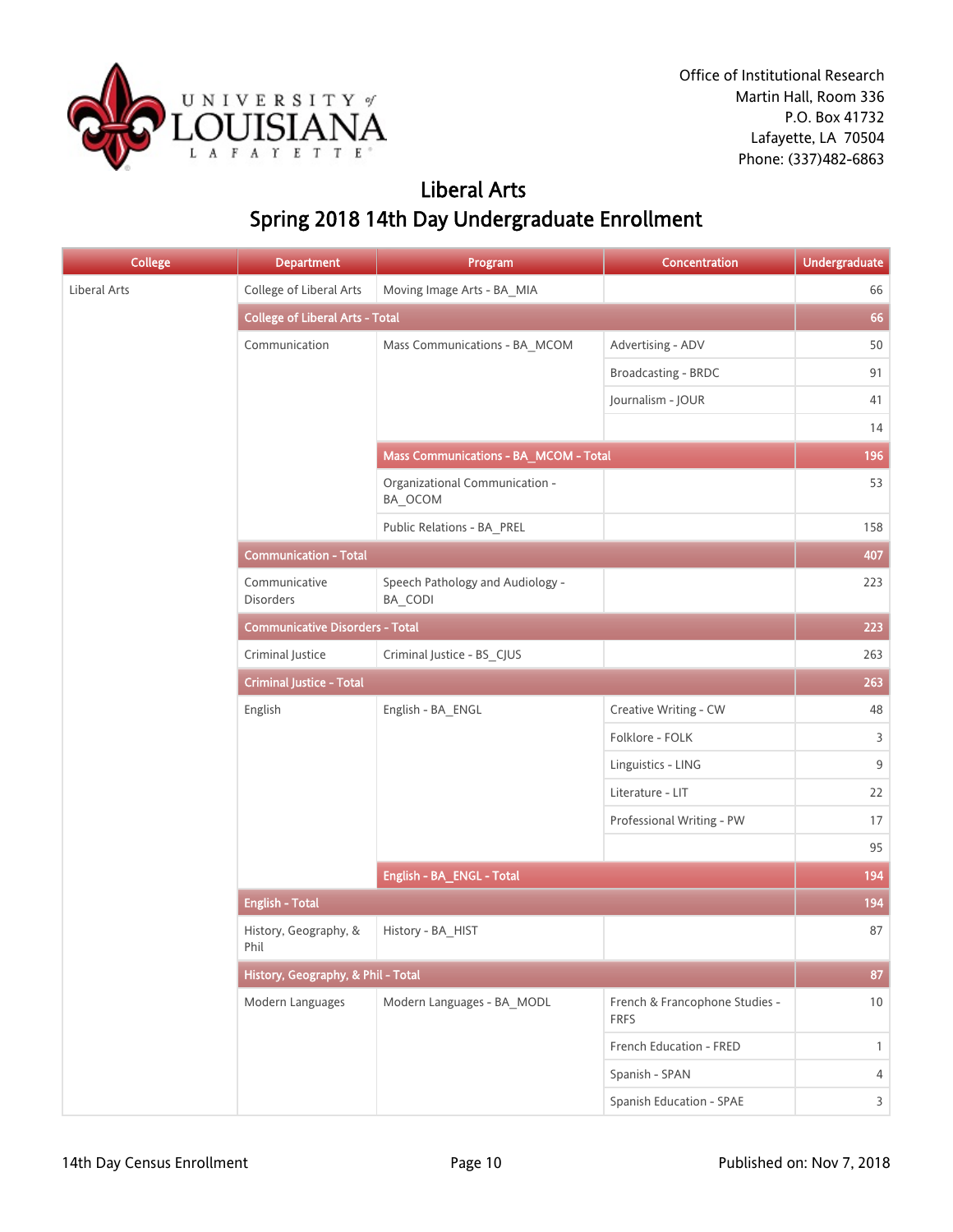

## Liberal Arts Spring 2018 14th Day Undergraduate Enrollment

| College      | <b>Department</b>                      | Program                                            | Concentration                                 | <b>Undergraduate</b> |
|--------------|----------------------------------------|----------------------------------------------------|-----------------------------------------------|----------------------|
| Liberal Arts | College of Liberal Arts                | Moving Image Arts - BA_MIA                         |                                               | 66                   |
|              | <b>College of Liberal Arts - Total</b> |                                                    |                                               | 66                   |
|              | Communication                          | Mass Communications - BA_MCOM                      | Advertising - ADV                             | 50                   |
|              |                                        |                                                    | Broadcasting - BRDC                           | 91                   |
|              |                                        |                                                    | Journalism - JOUR                             | 41                   |
|              |                                        |                                                    |                                               | 14                   |
|              |                                        | Mass Communications - BA_MCOM - Total              |                                               | 196                  |
|              |                                        | Organizational Communication -<br>BA_OCOM          |                                               | 53                   |
|              |                                        | Public Relations - BA_PREL                         |                                               | 158                  |
|              | <b>Communication - Total</b>           |                                                    |                                               | 407                  |
|              | Communicative<br>Disorders             | Speech Pathology and Audiology -<br><b>BA_CODI</b> |                                               | 223                  |
|              | <b>Communicative Disorders - Total</b> |                                                    |                                               | 223                  |
|              | Criminal Justice                       | Criminal Justice - BS_CJUS                         |                                               | 263                  |
|              | <b>Criminal Justice - Total</b>        |                                                    |                                               | 263                  |
|              | English                                | English - BA_ENGL                                  | Creative Writing - CW                         | 48                   |
|              |                                        |                                                    | Folklore - FOLK                               | 3                    |
|              |                                        |                                                    | Linguistics - LING                            | $9\,$                |
|              |                                        |                                                    | Literature - LIT                              | 22                   |
|              |                                        |                                                    | Professional Writing - PW                     | 17                   |
|              |                                        |                                                    |                                               | 95                   |
|              |                                        | English - BA_ENGL - Total                          |                                               | 194                  |
|              | <b>English - Total</b>                 |                                                    |                                               | 194                  |
|              | History, Geography, &<br>Phil          | History - BA_HIST                                  |                                               | 87                   |
|              | History, Geography, & Phil - Total     |                                                    |                                               | 87                   |
|              | Modern Languages                       | Modern Languages - BA MODL                         | French & Francophone Studies -<br><b>FRFS</b> | $10\,$               |
|              |                                        |                                                    | French Education - FRED                       | $\mathbf{1}$         |
|              |                                        |                                                    | Spanish - SPAN                                | $\overline{4}$       |
|              |                                        |                                                    | Spanish Education - SPAE                      | $\overline{3}$       |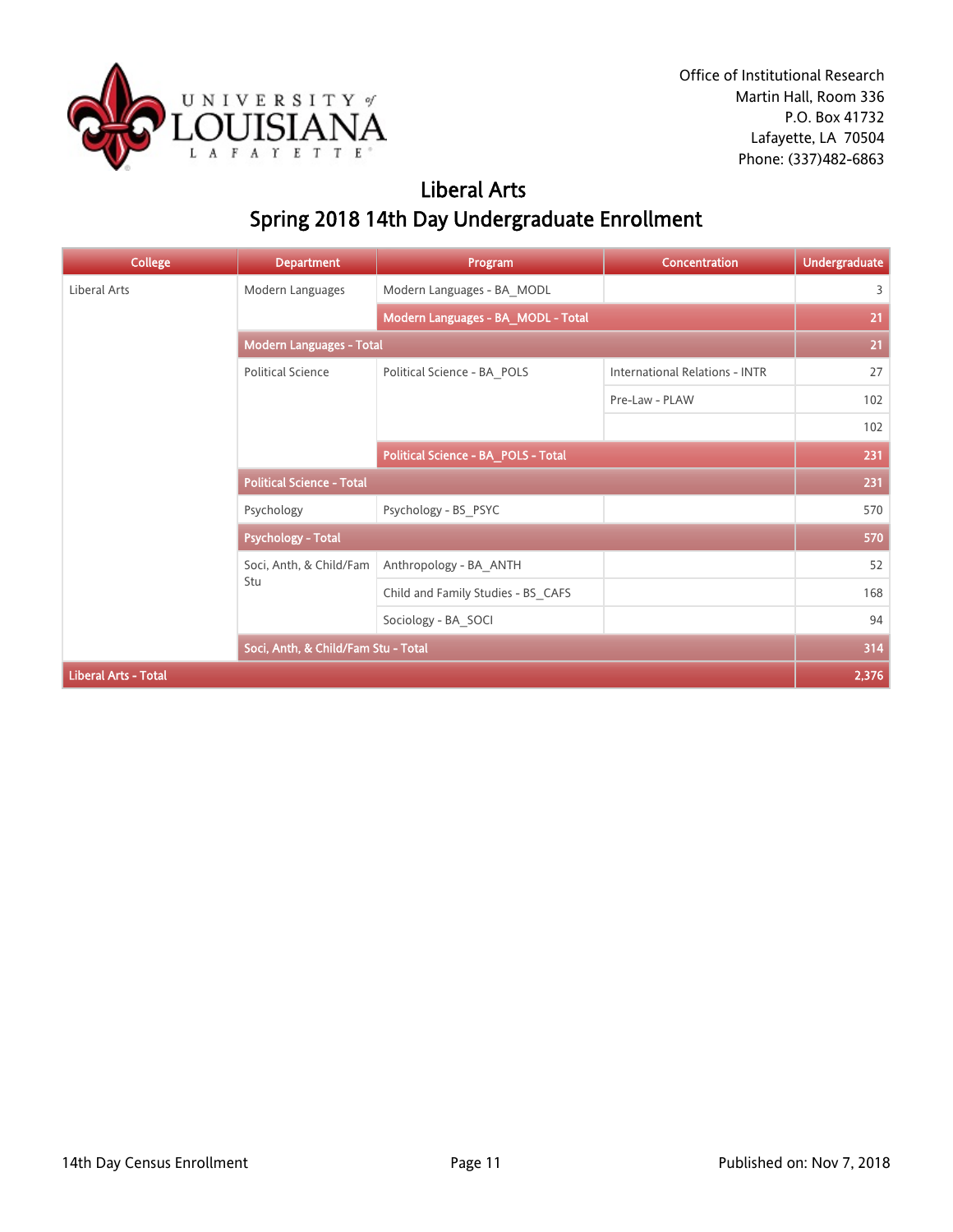

## Liberal Arts Spring 2018 14th Day Undergraduate Enrollment

| <b>College</b>              | <b>Department</b>                   | Program                             | <b>Concentration</b>                  | <b>Undergraduate</b> |
|-----------------------------|-------------------------------------|-------------------------------------|---------------------------------------|----------------------|
| <b>Liberal Arts</b>         | Modern Languages                    | Modern Languages - BA_MODL          |                                       | 3                    |
|                             |                                     | Modern Languages - BA_MODL - Total  |                                       | 21                   |
|                             | <b>Modern Languages - Total</b>     |                                     |                                       | 21                   |
|                             | <b>Political Science</b>            | Political Science - BA_POLS         | <b>International Relations - INTR</b> | 27                   |
|                             |                                     |                                     | Pre-Law - PLAW                        | 102                  |
|                             |                                     |                                     |                                       | 102                  |
|                             |                                     | Political Science - BA_POLS - Total |                                       | 231                  |
|                             | <b>Political Science - Total</b>    |                                     |                                       | 231                  |
|                             | Psychology                          | Psychology - BS_PSYC                |                                       | 570                  |
|                             | <b>Psychology - Total</b>           |                                     |                                       | 570                  |
|                             | Soci, Anth, & Child/Fam             | Anthropology - BA_ANTH              |                                       | 52                   |
|                             | Stu                                 | Child and Family Studies - BS_CAFS  |                                       | 168                  |
|                             |                                     | Sociology - BA_SOCI                 |                                       | 94                   |
|                             | Soci, Anth, & Child/Fam Stu - Total |                                     |                                       | 314                  |
| <b>Liberal Arts - Total</b> |                                     |                                     |                                       | 2,376                |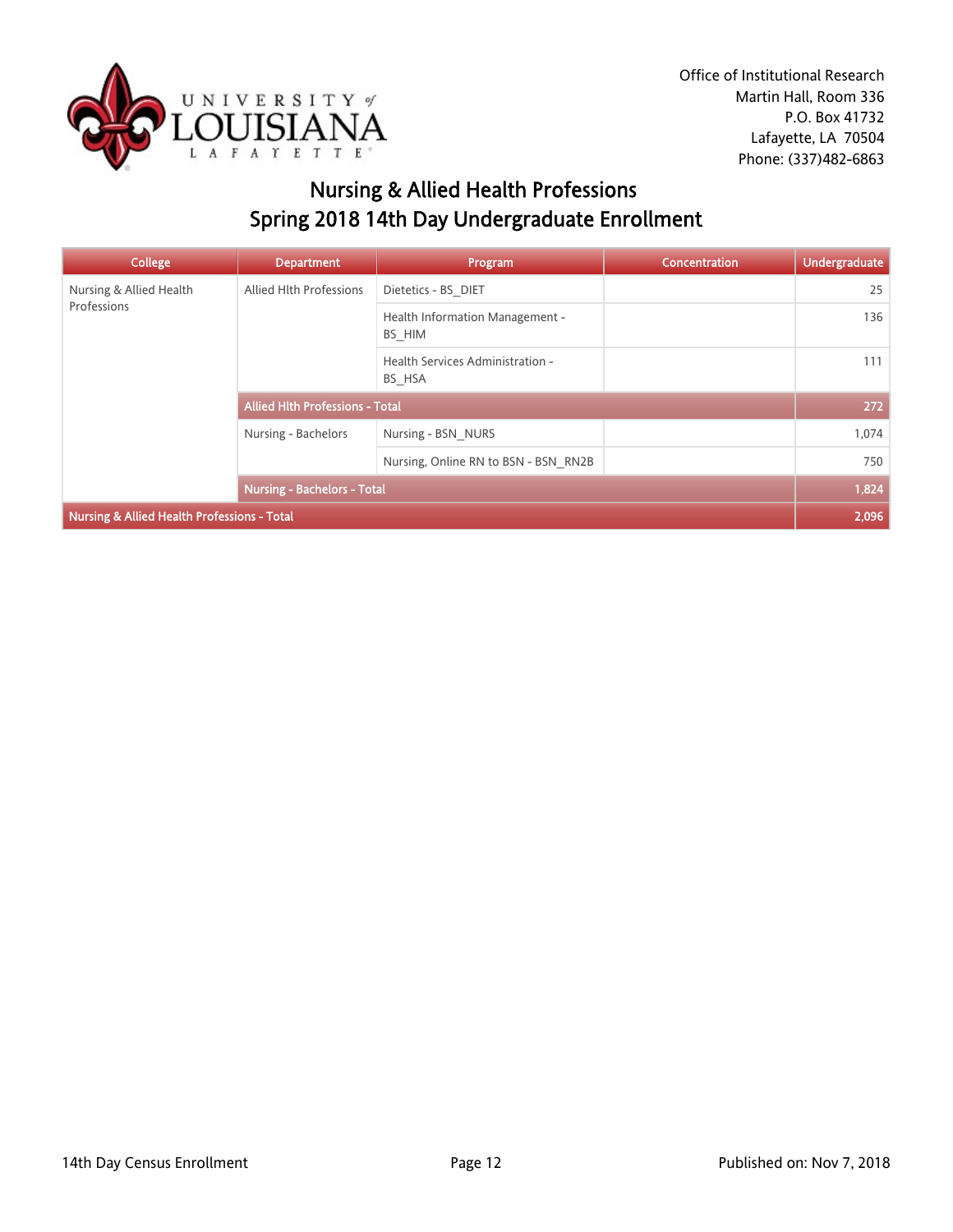

# Nursing & Allied Health Professions Spring 2018 14th Day Undergraduate Enrollment

| <b>College</b>                              | <b>Department</b>                      | Program                                    | <b>Concentration</b> | Undergraduate |
|---------------------------------------------|----------------------------------------|--------------------------------------------|----------------------|---------------|
| Nursing & Allied Health                     | Allied Hlth Professions                | Dietetics - BS DIET                        |                      | 25            |
| Professions                                 |                                        | Health Information Management -<br>BS HIM  |                      | 136           |
|                                             |                                        | Health Services Administration -<br>BS HSA |                      | 111           |
|                                             | <b>Allied Hith Professions - Total</b> |                                            |                      | 272           |
|                                             | Nursing - Bachelors                    | Nursing - BSN NURS                         |                      | 1,074         |
|                                             |                                        | Nursing, Online RN to BSN - BSN RN2B       |                      | 750           |
|                                             | <b>Nursing - Bachelors - Total</b>     |                                            |                      | 1,824         |
| Nursing & Allied Health Professions - Total |                                        |                                            |                      | 2,096         |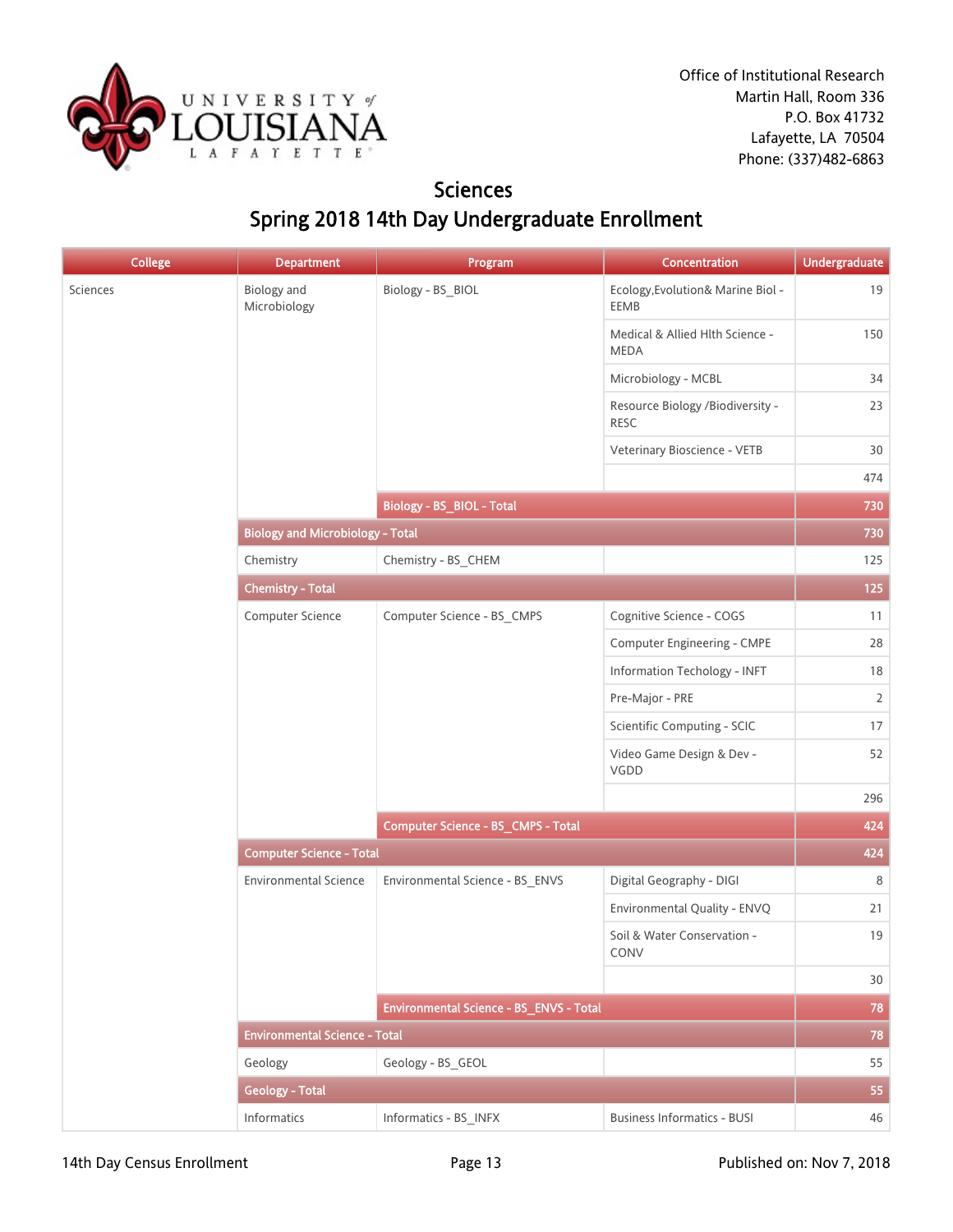

## **Sciences** Spring 2018 14th Day Undergraduate Enrollment

| <b>College</b> | <b>Department</b>                       | Program                                   | Concentration                                   | Undergraduate  |
|----------------|-----------------------------------------|-------------------------------------------|-------------------------------------------------|----------------|
| Sciences       | Biology and<br>Microbiology             | Biology - BS_BIOL                         | Ecology, Evolution& Marine Biol -<br>EEMB       | 19             |
|                |                                         |                                           | Medical & Allied Hlth Science -<br><b>MEDA</b>  | 150            |
|                |                                         |                                           | Microbiology - MCBL                             | 34             |
|                |                                         |                                           | Resource Biology /Biodiversity -<br><b>RESC</b> | 23             |
|                |                                         |                                           | Veterinary Bioscience - VETB                    | 30             |
|                |                                         |                                           |                                                 | 474            |
|                |                                         | Biology - BS_BIOL - Total                 |                                                 | 730            |
|                | <b>Biology and Microbiology - Total</b> |                                           |                                                 | 730            |
|                | Chemistry                               | Chemistry - BS_CHEM                       |                                                 | 125            |
|                | <b>Chemistry - Total</b>                |                                           |                                                 | 125            |
|                | Computer Science                        | Computer Science - BS_CMPS                | Cognitive Science - COGS                        | 11             |
|                |                                         |                                           | Computer Engineering - CMPE                     | 28             |
|                |                                         |                                           | Information Techology - INFT                    | 18             |
|                |                                         |                                           | Pre-Major - PRE                                 | $\overline{2}$ |
|                |                                         |                                           | Scientific Computing - SCIC                     | 17             |
|                |                                         |                                           | Video Game Design & Dev -<br>VGDD               | 52             |
|                |                                         |                                           |                                                 | 296            |
|                |                                         | <b>Computer Science - BS_CMPS - Total</b> | 424                                             |                |
|                | <b>Computer Science - Total</b>         |                                           |                                                 | 424            |
|                | <b>Environmental Science</b>            | Environmental Science - BS_ENVS           | Digital Geography - DIGI                        | $\,8\,$        |
|                |                                         |                                           | Environmental Quality - ENVQ                    | 21             |
|                |                                         |                                           | Soil & Water Conservation -<br><b>CONV</b>      | 19             |
|                |                                         |                                           |                                                 | 30             |
|                |                                         | Environmental Science - BS ENVS - Total   |                                                 | 78             |
|                | <b>Environmental Science - Total</b>    |                                           |                                                 | 78             |
|                | Geology                                 | Geology - BS_GEOL                         |                                                 | 55             |
|                | <b>Geology - Total</b>                  |                                           |                                                 | 55             |
|                | Informatics                             | Informatics - BS_INFX                     | <b>Business Informatics - BUSI</b>              | 46             |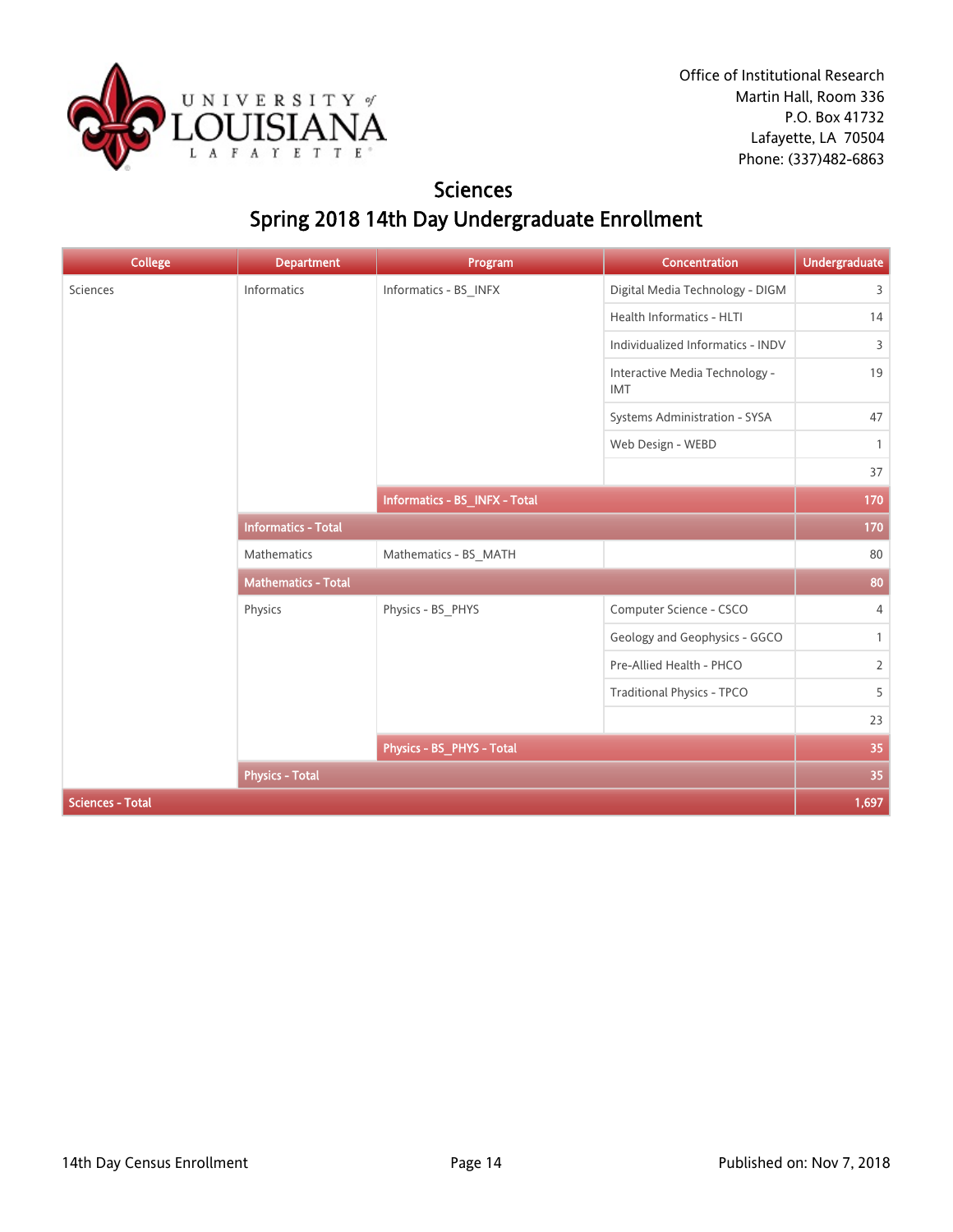

## **Sciences** Spring 2018 14th Day Undergraduate Enrollment

| <b>College</b>          | <b>Department</b>          | Program                       | Concentration                                | <b>Undergraduate</b> |
|-------------------------|----------------------------|-------------------------------|----------------------------------------------|----------------------|
| Sciences                | Informatics                | Informatics - BS_INFX         | Digital Media Technology - DIGM              | 3                    |
|                         |                            |                               | Health Informatics - HLTI                    | 14                   |
|                         |                            |                               | Individualized Informatics - INDV            | 3                    |
|                         |                            |                               | Interactive Media Technology -<br><b>IMT</b> | 19                   |
|                         |                            |                               | Systems Administration - SYSA                | 47                   |
|                         |                            |                               | Web Design - WEBD                            | $\mathbf{1}$         |
|                         |                            |                               |                                              | 37                   |
|                         |                            | Informatics - BS_INFX - Total |                                              | 170                  |
|                         | <b>Informatics - Total</b> |                               |                                              | 170                  |
|                         | Mathematics                | Mathematics - BS_MATH         |                                              | 80                   |
|                         | <b>Mathematics - Total</b> |                               |                                              | 80                   |
|                         | Physics                    | Physics - BS_PHYS             | Computer Science - CSCO                      | $\overline{4}$       |
|                         |                            |                               | Geology and Geophysics - GGCO                | $\mathbf{1}$         |
|                         |                            |                               | Pre-Allied Health - PHCO                     | $\overline{2}$       |
|                         |                            |                               | Traditional Physics - TPCO                   | 5                    |
|                         |                            |                               |                                              | 23                   |
|                         |                            | Physics - BS_PHYS - Total     |                                              | 35                   |
|                         | <b>Physics - Total</b>     |                               |                                              | 35                   |
| <b>Sciences - Total</b> |                            |                               |                                              | 1,697                |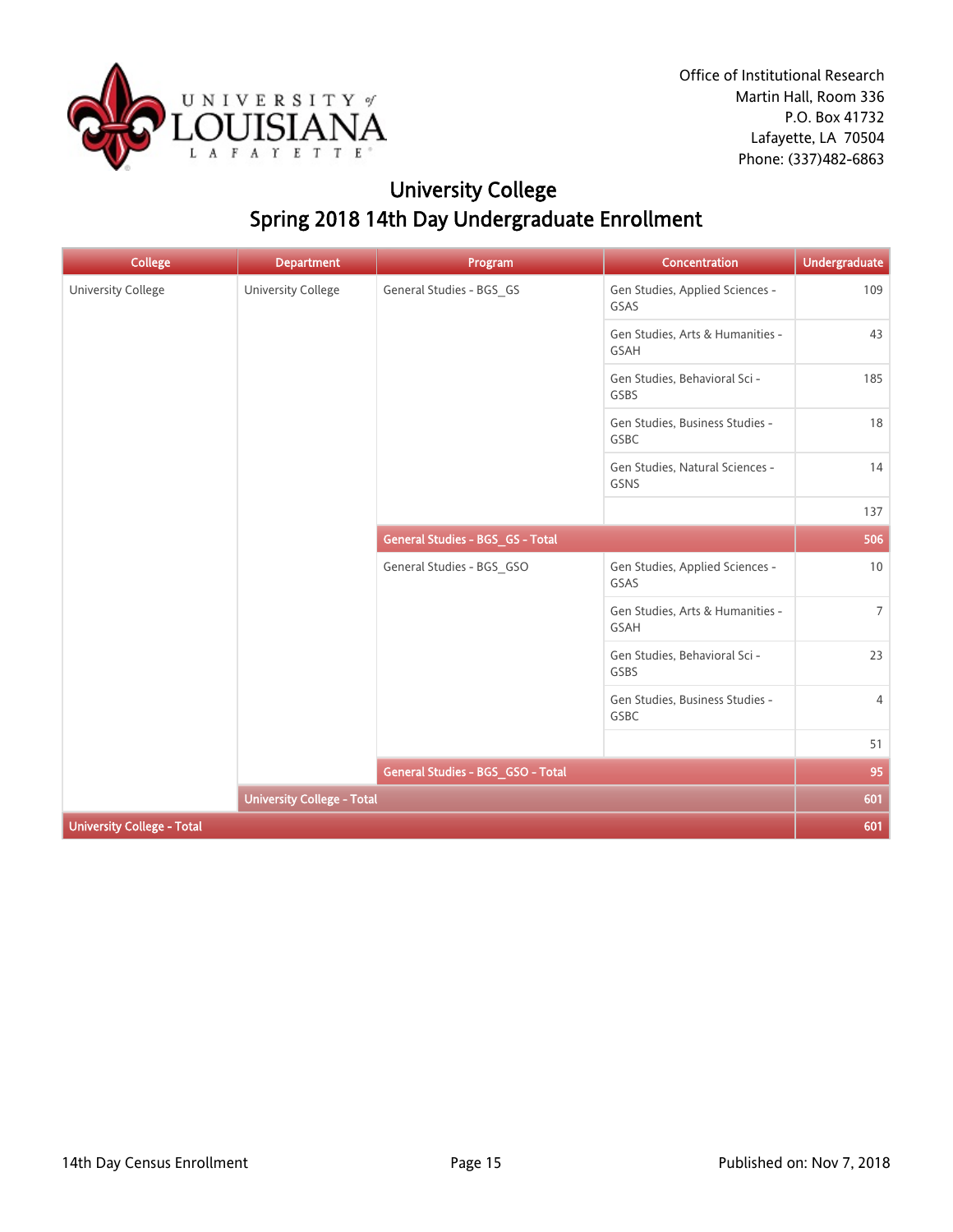

# University College Spring 2018 14th Day Undergraduate Enrollment

| <b>College</b>                    | <b>Department</b>                 | Program                           | Concentration                            | <b>Undergraduate</b> |
|-----------------------------------|-----------------------------------|-----------------------------------|------------------------------------------|----------------------|
| University College                | <b>University College</b>         | General Studies - BGS_GS          | Gen Studies, Applied Sciences -<br>GSAS  | 109                  |
|                                   |                                   |                                   | Gen Studies, Arts & Humanities -<br>GSAH | 43                   |
|                                   |                                   |                                   | Gen Studies, Behavioral Sci -<br>GSBS    | 185                  |
|                                   |                                   |                                   | Gen Studies, Business Studies -<br>GSBC  | 18                   |
|                                   |                                   |                                   | Gen Studies, Natural Sciences -<br>GSNS  | 14                   |
|                                   |                                   |                                   |                                          | 137                  |
|                                   |                                   | General Studies - BGS_GS - Total  |                                          | 506                  |
|                                   |                                   | General Studies - BGS_GSO         | Gen Studies, Applied Sciences -<br>GSAS  | 10                   |
|                                   |                                   |                                   | Gen Studies, Arts & Humanities -<br>GSAH | $7\overline{ }$      |
|                                   |                                   |                                   | Gen Studies, Behavioral Sci -<br>GSBS    | 23                   |
|                                   |                                   |                                   | Gen Studies, Business Studies -<br>GSBC  | $\overline{4}$       |
|                                   |                                   |                                   |                                          | 51                   |
|                                   |                                   | General Studies - BGS_GSO - Total |                                          | 95                   |
|                                   | <b>University College - Total</b> |                                   |                                          | 601                  |
| <b>University College - Total</b> |                                   |                                   |                                          | 601                  |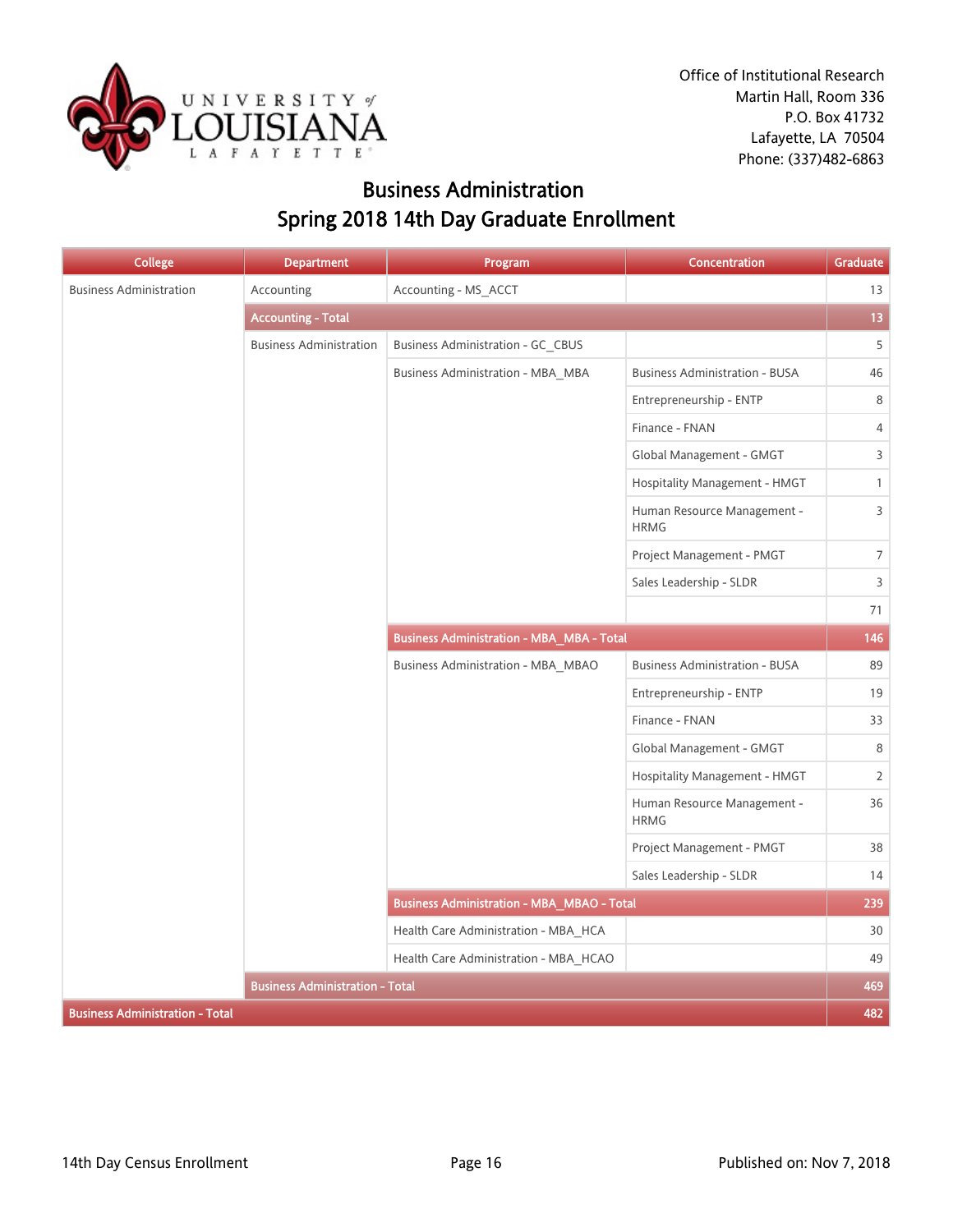

## Business Administration Spring 2018 14th Day Graduate Enrollment

| <b>College</b>                         | <b>Department</b>                      | Program                                           | Concentration                              | Graduate       |
|----------------------------------------|----------------------------------------|---------------------------------------------------|--------------------------------------------|----------------|
| <b>Business Administration</b>         | Accounting                             | Accounting - MS_ACCT                              |                                            | 13             |
|                                        | <b>Accounting - Total</b>              |                                                   |                                            | 13             |
|                                        | <b>Business Administration</b>         | Business Administration - GC CBUS                 |                                            | 5              |
|                                        |                                        | Business Administration - MBA MBA                 | <b>Business Administration - BUSA</b>      | 46             |
|                                        |                                        |                                                   | Entrepreneurship - ENTP                    | 8              |
|                                        |                                        |                                                   | Finance - FNAN                             | 4              |
|                                        |                                        |                                                   | Global Management - GMGT                   | 3              |
|                                        |                                        |                                                   | Hospitality Management - HMGT              | $\mathbf{1}$   |
|                                        |                                        |                                                   | Human Resource Management -<br><b>HRMG</b> | $\overline{3}$ |
|                                        |                                        |                                                   | Project Management - PMGT                  | $\overline{7}$ |
|                                        |                                        |                                                   | Sales Leadership - SLDR                    | 3              |
|                                        |                                        |                                                   |                                            | 71             |
|                                        |                                        | <b>Business Administration - MBA_MBA - Total</b>  |                                            | 146            |
|                                        |                                        | Business Administration - MBA MBAO                | <b>Business Administration - BUSA</b>      | 89             |
|                                        |                                        |                                                   | Entrepreneurship - ENTP                    | 19             |
|                                        |                                        |                                                   | Finance - FNAN                             | 33             |
|                                        |                                        |                                                   | Global Management - GMGT                   | 8              |
|                                        |                                        |                                                   | Hospitality Management - HMGT              | $\overline{2}$ |
|                                        |                                        |                                                   | Human Resource Management -<br><b>HRMG</b> | 36             |
|                                        |                                        |                                                   | Project Management - PMGT                  | 38             |
|                                        |                                        |                                                   | Sales Leadership - SLDR                    | 14             |
|                                        |                                        | <b>Business Administration - MBA_MBAO - Total</b> |                                            | 239            |
|                                        |                                        | Health Care Administration - MBA HCA              |                                            | 30             |
|                                        |                                        | Health Care Administration - MBA_HCAO             |                                            | 49             |
|                                        | <b>Business Administration - Total</b> |                                                   |                                            | 469            |
| <b>Business Administration - Total</b> |                                        |                                                   |                                            | 482            |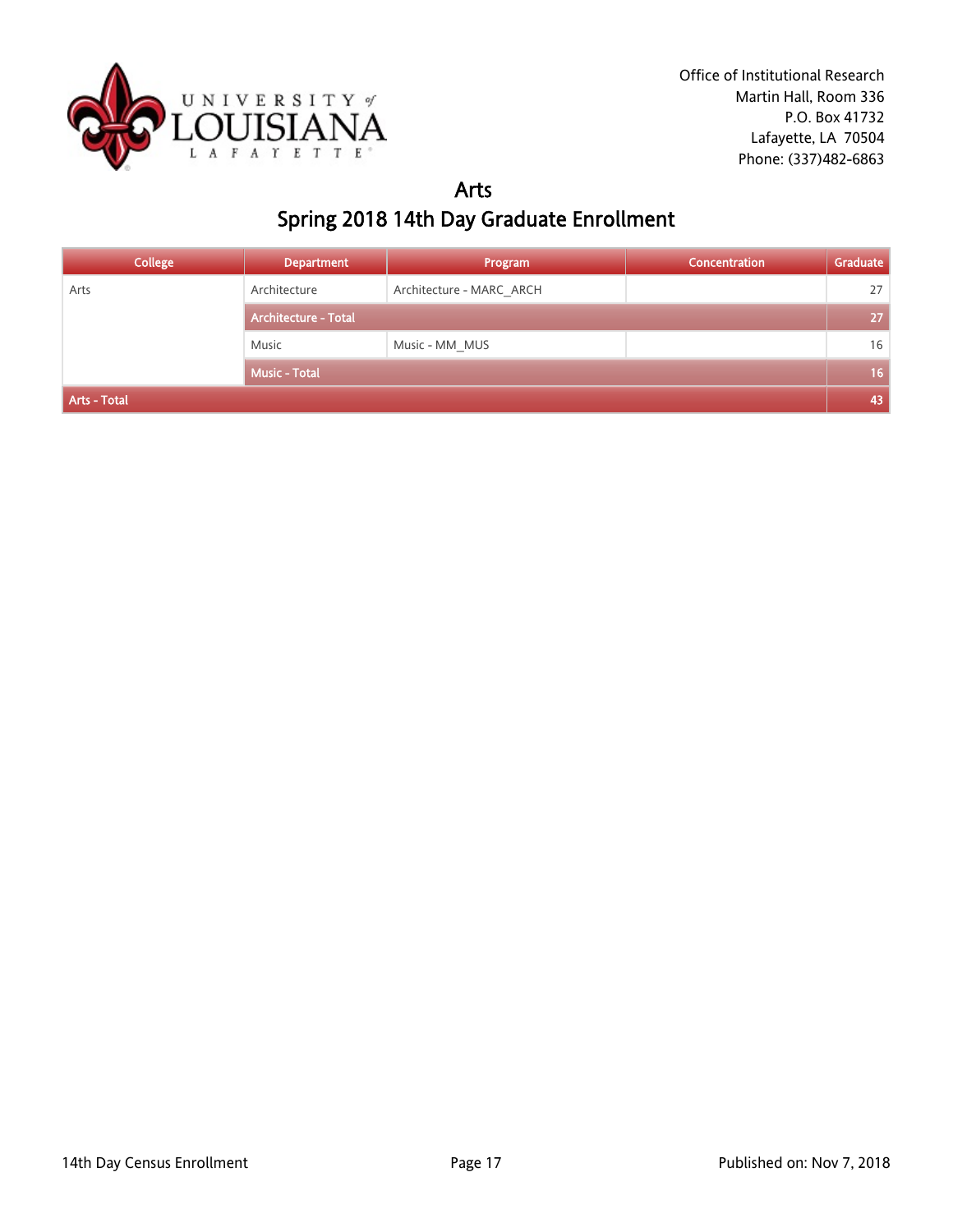

#### Arts Spring 2018 14th Day Graduate Enrollment

| <b>College</b> | <b>Department</b>           | Program                  | <b>Concentration</b> | Graduate        |
|----------------|-----------------------------|--------------------------|----------------------|-----------------|
| Arts           | Architecture                | Architecture - MARC ARCH |                      | 27              |
|                | <b>Architecture - Total</b> |                          |                      | 27              |
|                | Music                       | Music - MM_MUS           |                      | 16              |
|                | <b>Music - Total</b>        |                          |                      | 16 <sup>°</sup> |
| Arts - Total   |                             |                          |                      | 43              |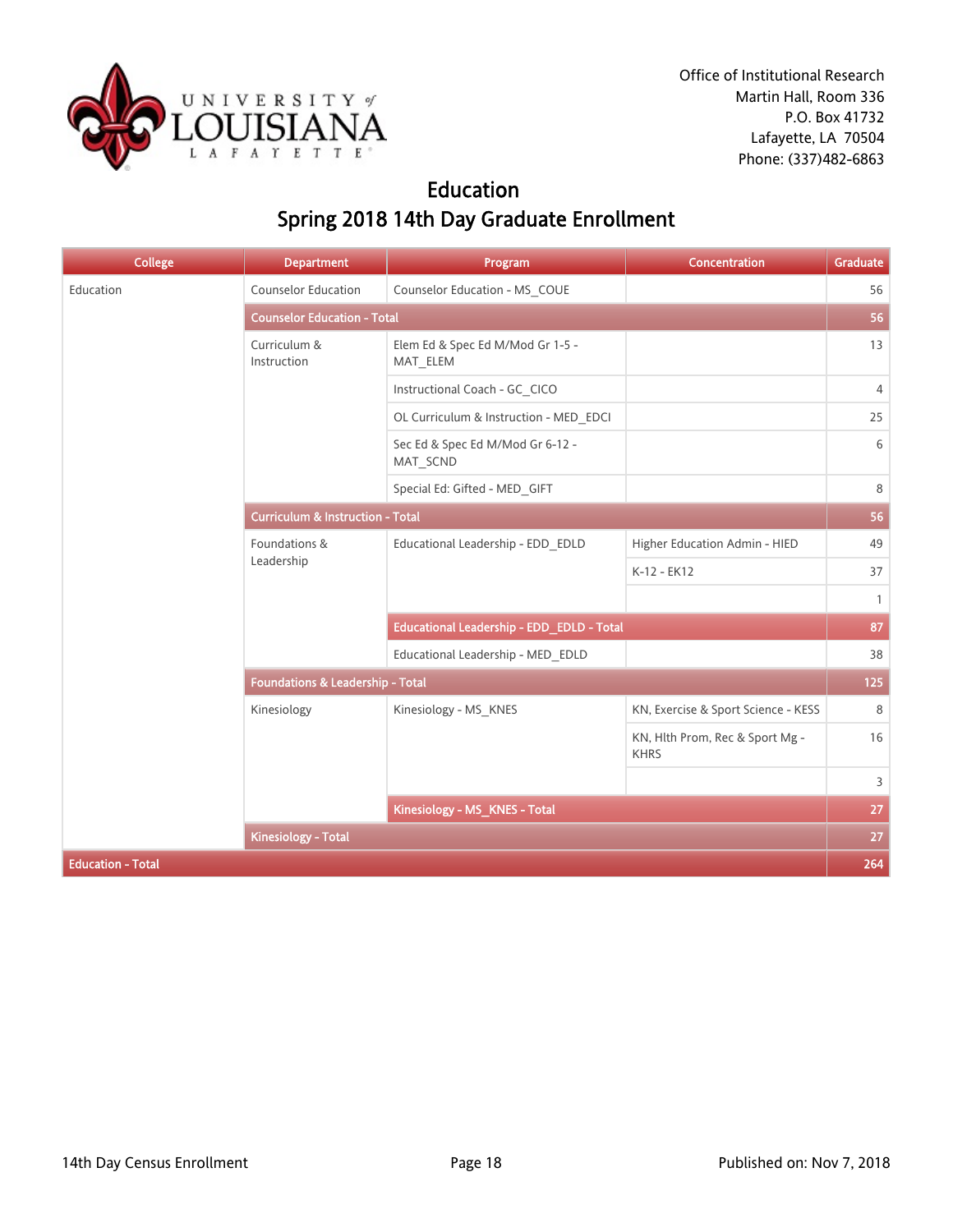

## Education Spring 2018 14th Day Graduate Enrollment

| <b>College</b>           | <b>Department</b>                           | Program                                      | Concentration                                  | <b>Graduate</b> |  |
|--------------------------|---------------------------------------------|----------------------------------------------|------------------------------------------------|-----------------|--|
| Education                | <b>Counselor Education</b>                  | Counselor Education - MS_COUE                |                                                | 56              |  |
|                          | <b>Counselor Education - Total</b>          |                                              |                                                |                 |  |
|                          | Curriculum &<br>Instruction                 | Elem Ed & Spec Ed M/Mod Gr 1-5 -<br>MAT_ELEM |                                                | 13              |  |
|                          |                                             | Instructional Coach - GC_CICO                |                                                | $\overline{4}$  |  |
|                          |                                             | OL Curriculum & Instruction - MED_EDCI       |                                                | 25              |  |
|                          |                                             | Sec Ed & Spec Ed M/Mod Gr 6-12 -<br>MAT_SCND |                                                | 6               |  |
|                          |                                             | Special Ed: Gifted - MED_GIFT                |                                                | 8               |  |
|                          | <b>Curriculum &amp; Instruction - Total</b> |                                              |                                                |                 |  |
|                          | Foundations &<br>Leadership                 | Educational Leadership - EDD_EDLD            | Higher Education Admin - HIED                  | 49              |  |
|                          |                                             |                                              | K-12 - EK12                                    | 37              |  |
|                          |                                             |                                              |                                                | $\mathbf{1}$    |  |
|                          |                                             | Educational Leadership - EDD_EDLD - Total    |                                                | 87              |  |
|                          |                                             | Educational Leadership - MED EDLD            |                                                | 38              |  |
|                          | <b>Foundations &amp; Leadership - Total</b> |                                              |                                                | 125             |  |
|                          | Kinesiology                                 | Kinesiology - MS_KNES                        | KN, Exercise & Sport Science - KESS            | 8               |  |
|                          |                                             |                                              | KN, Hlth Prom, Rec & Sport Mg -<br><b>KHRS</b> | 16              |  |
|                          |                                             |                                              |                                                | 3               |  |
|                          |                                             | Kinesiology - MS_KNES - Total                |                                                | 27              |  |
|                          | <b>Kinesiology - Total</b>                  |                                              |                                                | 27              |  |
| <b>Education - Total</b> |                                             |                                              |                                                | 264             |  |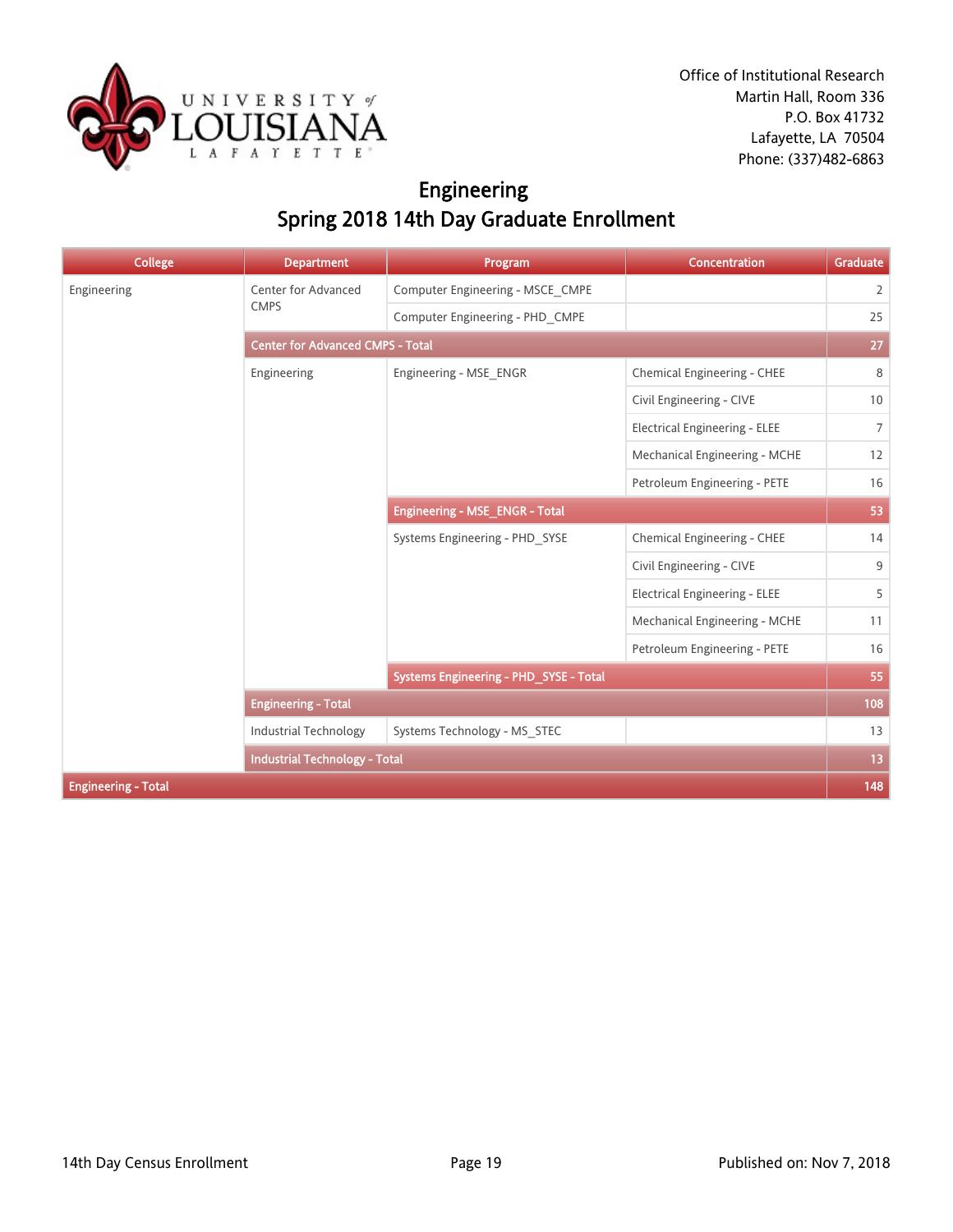

# Engineering Spring 2018 14th Day Graduate Enrollment

| <b>College</b>             | <b>Department</b>                       | Program                                | <b>Concentration</b>                 | Graduate       |  |
|----------------------------|-----------------------------------------|----------------------------------------|--------------------------------------|----------------|--|
| Engineering                | Center for Advanced                     | Computer Engineering - MSCE CMPE       |                                      | $\overline{2}$ |  |
|                            | <b>CMPS</b>                             | Computer Engineering - PHD CMPE        |                                      | 25             |  |
|                            | <b>Center for Advanced CMPS - Total</b> |                                        |                                      |                |  |
|                            | Engineering                             | Engineering - MSE ENGR                 | Chemical Engineering - CHEE          | 8              |  |
|                            |                                         |                                        | Civil Engineering - CIVE             | 10             |  |
|                            |                                         |                                        | <b>Electrical Engineering - ELEE</b> | $7^{\circ}$    |  |
|                            |                                         |                                        | Mechanical Engineering - MCHE        | 12             |  |
|                            |                                         |                                        | Petroleum Engineering - PETE         | 16             |  |
|                            |                                         | <b>Engineering - MSE_ENGR - Total</b>  |                                      | 53             |  |
|                            |                                         | Systems Engineering - PHD_SYSE         | Chemical Engineering - CHEE          | 14             |  |
|                            |                                         |                                        | Civil Engineering - CIVE             | 9              |  |
|                            |                                         |                                        | <b>Electrical Engineering - ELEE</b> | 5              |  |
|                            |                                         |                                        | Mechanical Engineering - MCHE        | 11             |  |
|                            |                                         |                                        | Petroleum Engineering - PETE         | 16             |  |
|                            |                                         | Systems Engineering - PHD_SYSE - Total |                                      | 55             |  |
|                            | <b>Engineering - Total</b>              |                                        |                                      | 108            |  |
|                            | <b>Industrial Technology</b>            | Systems Technology - MS STEC           |                                      | 13             |  |
|                            | <b>Industrial Technology - Total</b>    |                                        |                                      | 13             |  |
| <b>Engineering - Total</b> |                                         |                                        |                                      | 148            |  |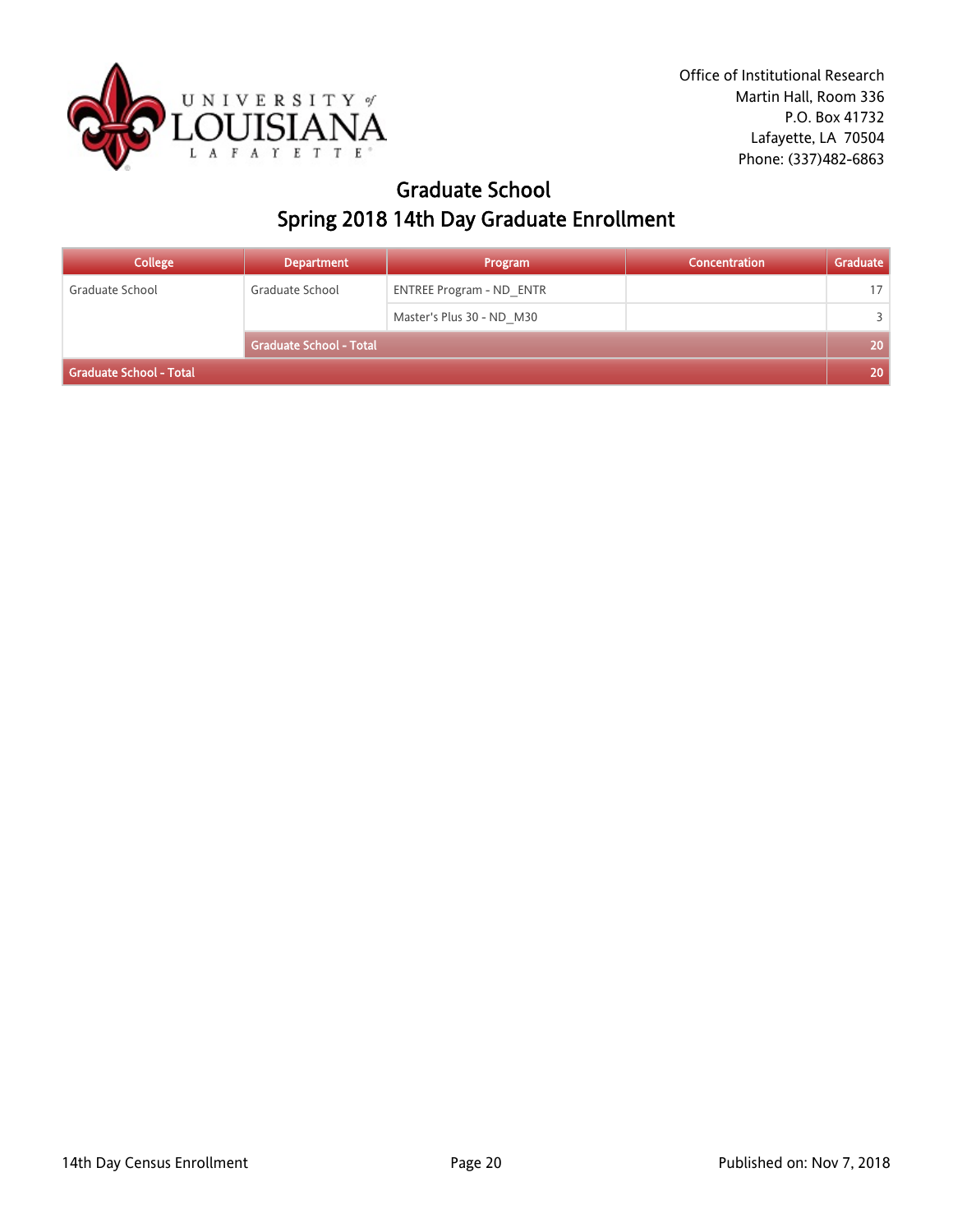

## Graduate School Spring 2018 14th Day Graduate Enrollment

| <b>College</b>          | <b>Department</b>       | Program                         | Concentration | Graduate |
|-------------------------|-------------------------|---------------------------------|---------------|----------|
| Graduate School         | Graduate School         | <b>ENTREE Program - ND ENTR</b> |               | 17       |
|                         |                         | Master's Plus 30 - ND M30       |               | ₹        |
|                         | Graduate School - Total |                                 |               | 20       |
| Graduate School - Total |                         |                                 |               |          |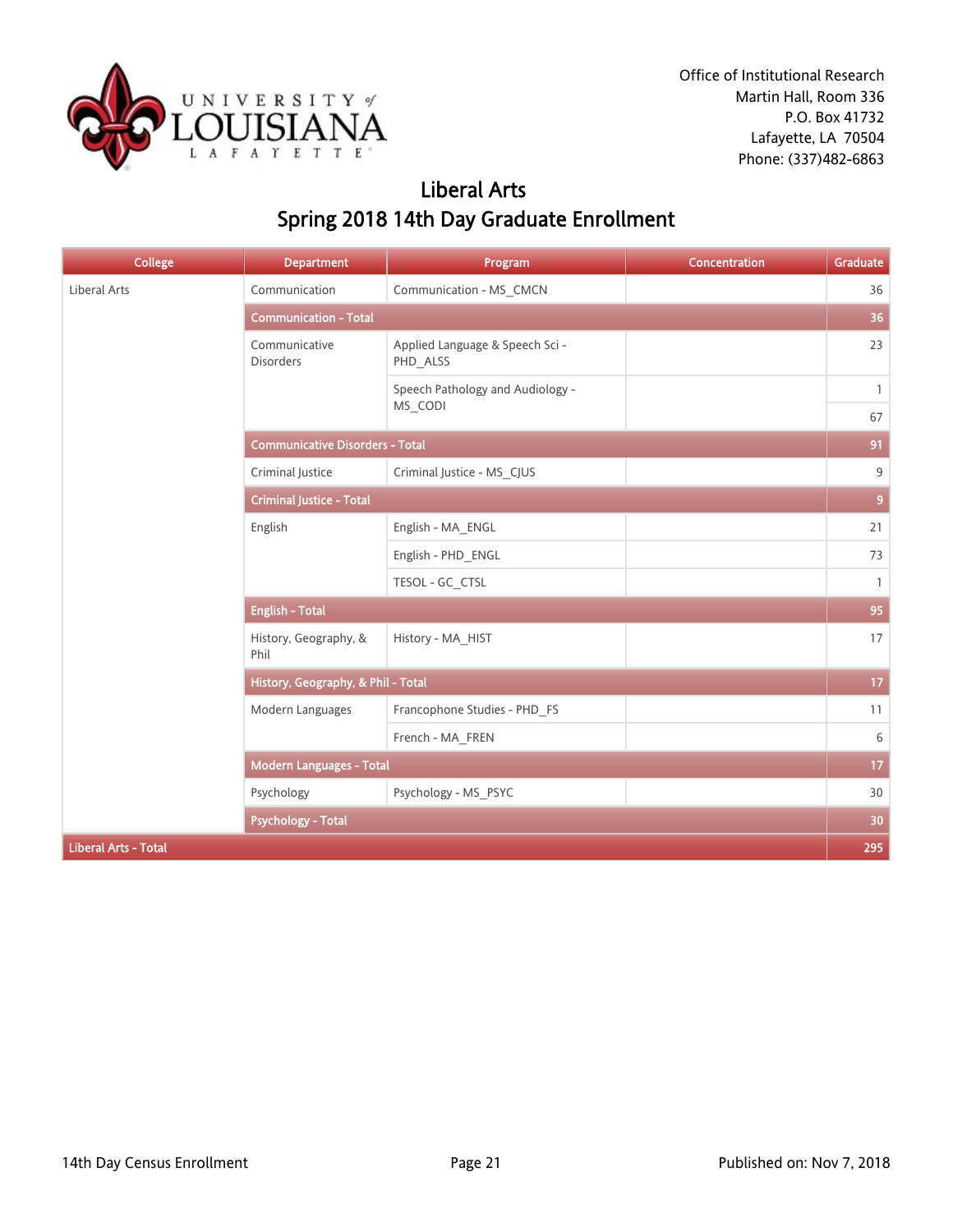

## Liberal Arts Spring 2018 14th Day Graduate Enrollment

| <b>College</b>              | <b>Department</b>                      | Program                                     | <b>Concentration</b> | Graduate        |  |
|-----------------------------|----------------------------------------|---------------------------------------------|----------------------|-----------------|--|
| Liberal Arts                | Communication                          | Communication - MS_CMCN                     |                      | 36              |  |
|                             | <b>Communication - Total</b>           |                                             |                      |                 |  |
|                             | Communicative<br><b>Disorders</b>      | Applied Language & Speech Sci -<br>PHD_ALSS |                      | 23              |  |
|                             |                                        | Speech Pathology and Audiology -            |                      | $\mathbf{1}$    |  |
|                             |                                        | MS_CODI                                     |                      | 67              |  |
|                             | <b>Communicative Disorders - Total</b> |                                             |                      | 91              |  |
|                             | Criminal Justice                       | Criminal Justice - MS_CJUS                  |                      | 9               |  |
|                             | <b>Criminal Justice - Total</b>        |                                             |                      |                 |  |
|                             | English                                | English - MA_ENGL                           |                      | 21              |  |
|                             |                                        | English - PHD_ENGL                          |                      | 73              |  |
|                             |                                        | TESOL - GC_CTSL                             |                      | $\mathbf{1}$    |  |
|                             | <b>English - Total</b>                 |                                             |                      |                 |  |
|                             | History, Geography, &<br>Phil          | History - MA_HIST                           |                      | 17              |  |
|                             | History, Geography, & Phil - Total     |                                             |                      | 17              |  |
|                             | Modern Languages                       | Francophone Studies - PHD_FS                |                      | 11              |  |
|                             |                                        | French - MA_FREN                            |                      | 6               |  |
|                             | Modern Languages - Total               |                                             |                      | 17 <sub>2</sub> |  |
|                             | Psychology                             | Psychology - MS_PSYC                        |                      | 30              |  |
|                             | <b>Psychology - Total</b>              |                                             |                      | 30              |  |
| <b>Liberal Arts - Total</b> |                                        |                                             |                      | 295             |  |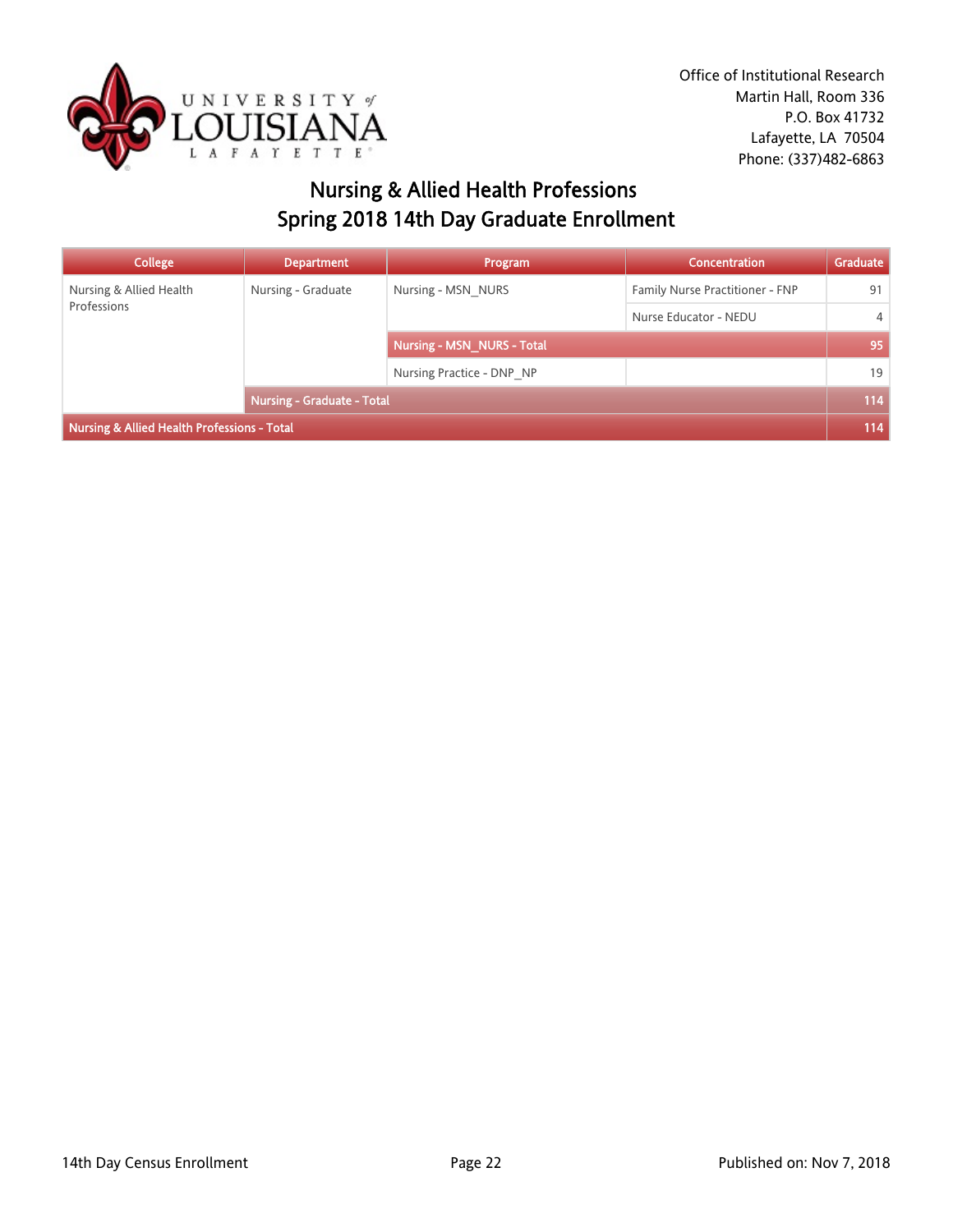

# Nursing & Allied Health Professions Spring 2018 14th Day Graduate Enrollment

| <b>College</b>                              | <b>Department</b>          | Program                           | Concentration                   | Graduate       |
|---------------------------------------------|----------------------------|-----------------------------------|---------------------------------|----------------|
| Nursing & Allied Health<br>Professions      | Nursing - Graduate         | Nursing - MSN NURS                | Family Nurse Practitioner - FNP | 91             |
|                                             |                            |                                   | Nurse Educator - NEDU           | $\overline{4}$ |
|                                             |                            | <b>Nursing - MSN NURS - Total</b> |                                 | 95             |
|                                             |                            | Nursing Practice - DNP NP         |                                 | 19             |
|                                             | Nursing - Graduate - Total |                                   | 114                             |                |
| Nursing & Allied Health Professions - Total |                            |                                   |                                 | 114            |